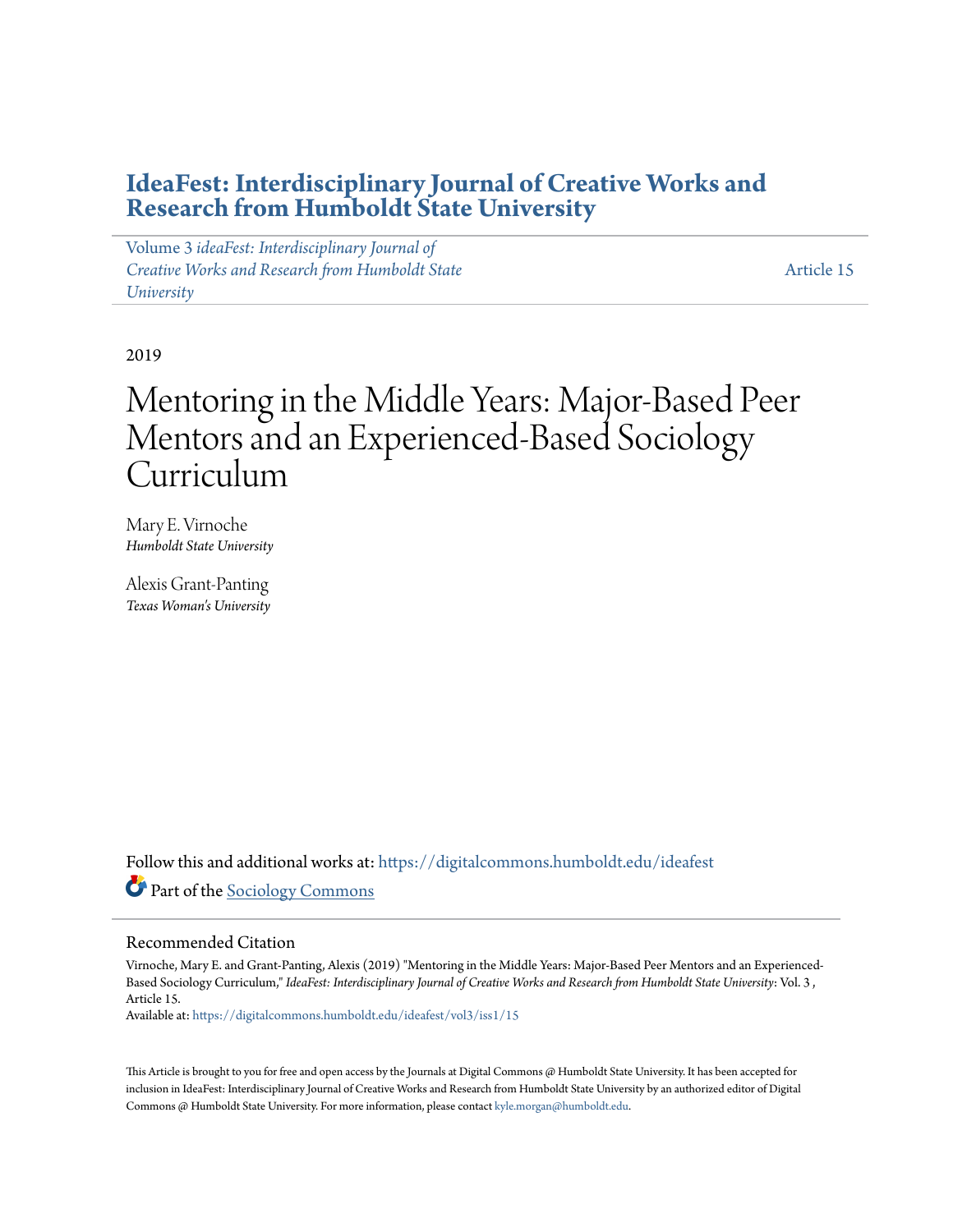### **[IdeaFest: Interdisciplinary Journal of Creative Works and](https://digitalcommons.humboldt.edu/ideafest?utm_source=digitalcommons.humboldt.edu%2Fideafest%2Fvol3%2Fiss1%2F15&utm_medium=PDF&utm_campaign=PDFCoverPages) [Research from Humboldt State University](https://digitalcommons.humboldt.edu/ideafest?utm_source=digitalcommons.humboldt.edu%2Fideafest%2Fvol3%2Fiss1%2F15&utm_medium=PDF&utm_campaign=PDFCoverPages)**

Volume 3 *[ideaFest: Interdisciplinary Journal of](https://digitalcommons.humboldt.edu/ideafest/vol3?utm_source=digitalcommons.humboldt.edu%2Fideafest%2Fvol3%2Fiss1%2F15&utm_medium=PDF&utm_campaign=PDFCoverPages) [Creative Works and Research from Humboldt State](https://digitalcommons.humboldt.edu/ideafest/vol3?utm_source=digitalcommons.humboldt.edu%2Fideafest%2Fvol3%2Fiss1%2F15&utm_medium=PDF&utm_campaign=PDFCoverPages) [University](https://digitalcommons.humboldt.edu/ideafest/vol3?utm_source=digitalcommons.humboldt.edu%2Fideafest%2Fvol3%2Fiss1%2F15&utm_medium=PDF&utm_campaign=PDFCoverPages)*

[Article 15](https://digitalcommons.humboldt.edu/ideafest/vol3/iss1/15?utm_source=digitalcommons.humboldt.edu%2Fideafest%2Fvol3%2Fiss1%2F15&utm_medium=PDF&utm_campaign=PDFCoverPages)

2019

## Mentoring in the Middle Years: Major-Based Peer Mentors and an Experienced-Based Sociology Curriculum

Mary E. Virnoche *Humboldt State University*

Alexis Grant-Panting *Texas Woman's University*

Follow this and additional works at: [https://digitalcommons.humboldt.edu/ideafest](https://digitalcommons.humboldt.edu/ideafest?utm_source=digitalcommons.humboldt.edu%2Fideafest%2Fvol3%2Fiss1%2F15&utm_medium=PDF&utm_campaign=PDFCoverPages) Part of the [Sociology Commons](http://network.bepress.com/hgg/discipline/416?utm_source=digitalcommons.humboldt.edu%2Fideafest%2Fvol3%2Fiss1%2F15&utm_medium=PDF&utm_campaign=PDFCoverPages)

#### Recommended Citation

Virnoche, Mary E. and Grant-Panting, Alexis (2019) "Mentoring in the Middle Years: Major-Based Peer Mentors and an Experienced-Based Sociology Curriculum," *IdeaFest: Interdisciplinary Journal of Creative Works and Research from Humboldt State University*: Vol. 3 , Article 15.

Available at: [https://digitalcommons.humboldt.edu/ideafest/vol3/iss1/15](https://digitalcommons.humboldt.edu/ideafest/vol3/iss1/15?utm_source=digitalcommons.humboldt.edu%2Fideafest%2Fvol3%2Fiss1%2F15&utm_medium=PDF&utm_campaign=PDFCoverPages)

This Article is brought to you for free and open access by the Journals at Digital Commons @ Humboldt State University. It has been accepted for inclusion in IdeaFest: Interdisciplinary Journal of Creative Works and Research from Humboldt State University by an authorized editor of Digital Commons @ Humboldt State University. For more information, please contact [kyle.morgan@humboldt.edu.](mailto:kyle.morgan@humboldt.edu)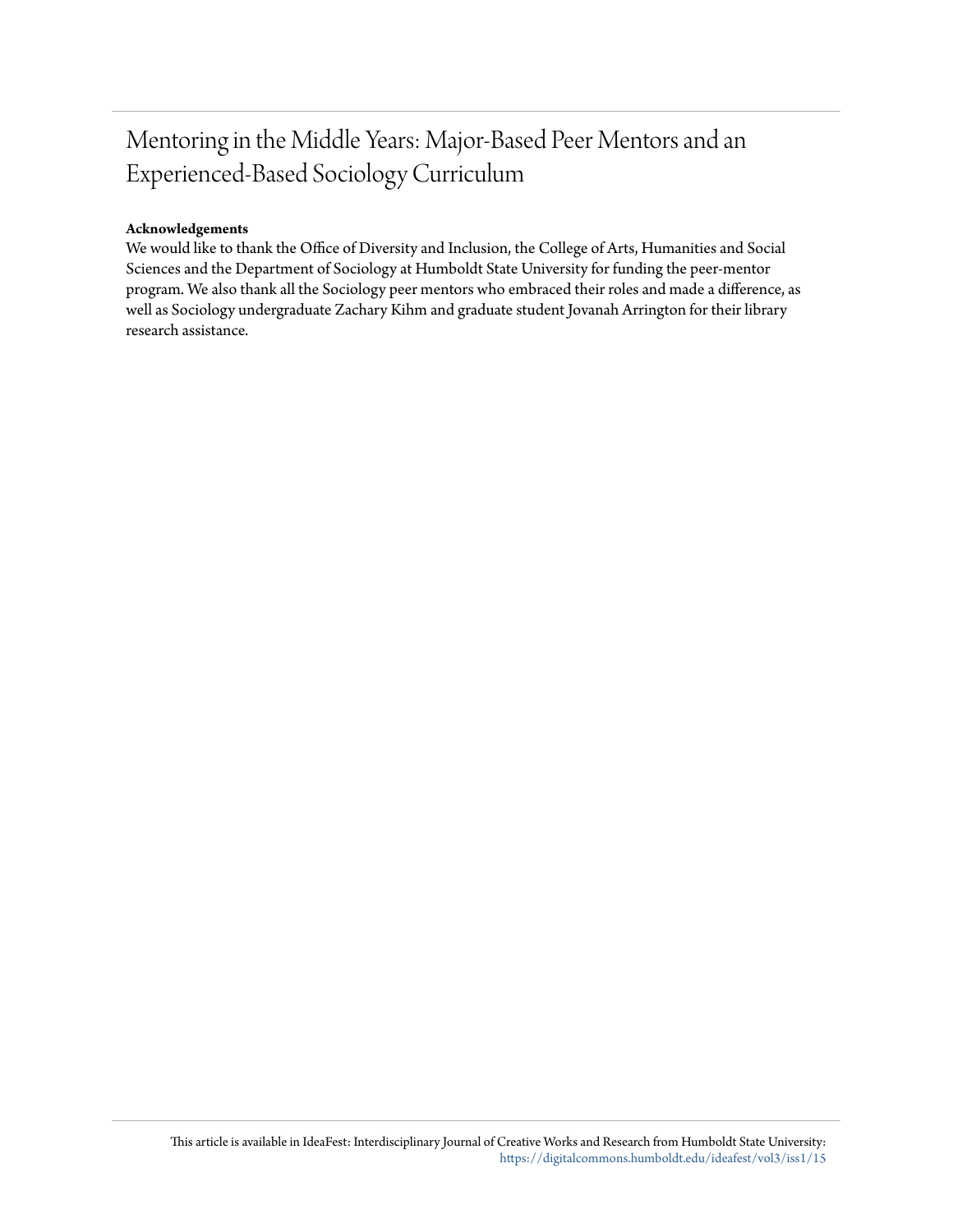## Mentoring in the Middle Years: Major-Based Peer Mentors and an Experienced-Based Sociology Curriculum

#### **Acknowledgements**

We would like to thank the Office of Diversity and Inclusion, the College of Arts, Humanities and Social Sciences and the Department of Sociology at Humboldt State University for funding the peer-mentor program. We also thank all the Sociology peer mentors who embraced their roles and made a difference, as well as Sociology undergraduate Zachary Kihm and graduate student Jovanah Arrington for their library research assistance.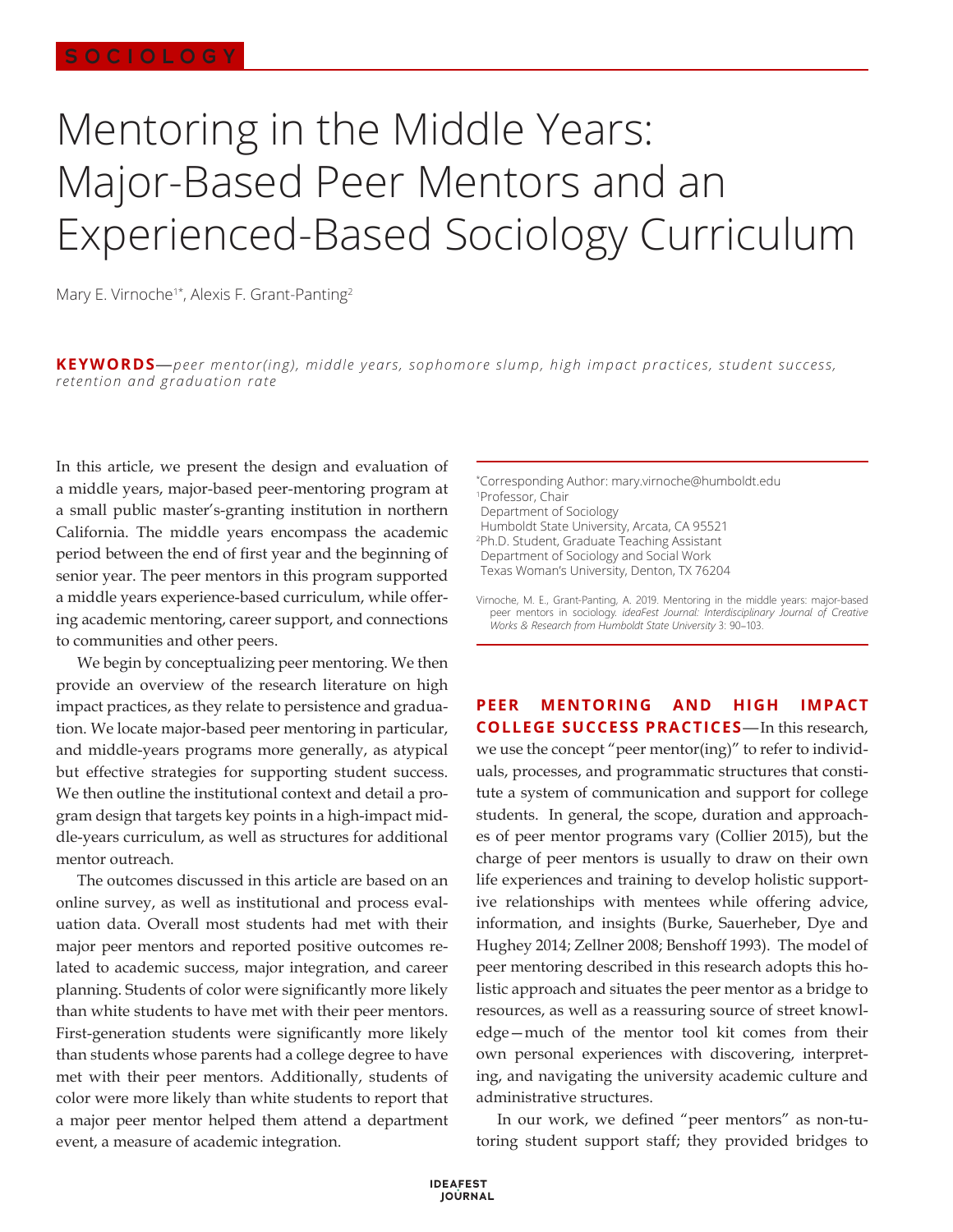# Mentoring in the Middle Years: Major-Based Peer Mentors and an Experienced-Based Sociology Curriculum

Mary E. Virnoche<sup>1\*</sup>, Alexis F. Grant-Panting<sup>2</sup>

**KEYWORDS**—*peer mentor(ing), middle years, sophomore slump, high impact practices, student success, retention and graduation rate*

In this article, we present the design and evaluation of a middle years, major-based peer-mentoring program at a small public master's-granting institution in northern California. The middle years encompass the academic period between the end of first year and the beginning of senior year. The peer mentors in this program supported a middle years experience-based curriculum, while offering academic mentoring, career support, and connections to communities and other peers.

We begin by conceptualizing peer mentoring. We then provide an overview of the research literature on high impact practices, as they relate to persistence and graduation. We locate major-based peer mentoring in particular, and middle-years programs more generally, as atypical but effective strategies for supporting student success. We then outline the institutional context and detail a program design that targets key points in a high-impact middle-years curriculum, as well as structures for additional mentor outreach.

The outcomes discussed in this article are based on an online survey, as well as institutional and process evaluation data. Overall most students had met with their major peer mentors and reported positive outcomes related to academic success, major integration, and career planning. Students of color were significantly more likely than white students to have met with their peer mentors. First-generation students were significantly more likely than students whose parents had a college degree to have met with their peer mentors. Additionally, students of color were more likely than white students to report that a major peer mentor helped them attend a department event, a measure of academic integration.

\* Corresponding Author: mary.virnoche@humboldt.edu 1 Professor, Chair Department of Sociology Humboldt State University, Arcata, CA 95521 2 Ph.D. Student, Graduate Teaching Assistant

Department of Sociology and Social Work Texas Woman's University, Denton, TX 76204

Virnoche, M. E., Grant-Panting, A. 2019. Mentoring in the middle years: major-based peer mentors in sociology. *ideaFest Journal: Interdisciplinary Journal of Creative Works & Research from Humboldt State University* 3: 90–103.

**PEER MENTORING AND HIGH IMPACT COLLEGE SUCCESS PRACTICES**—In this research, we use the concept "peer mentor(ing)" to refer to individuals, processes, and programmatic structures that constitute a system of communication and support for college students. In general, the scope, duration and approaches of peer mentor programs vary (Collier 2015), but the charge of peer mentors is usually to draw on their own life experiences and training to develop holistic supportive relationships with mentees while offering advice, information, and insights (Burke, Sauerheber, Dye and Hughey 2014; Zellner 2008; Benshoff 1993). The model of peer mentoring described in this research adopts this holistic approach and situates the peer mentor as a bridge to resources, as well as a reassuring source of street knowledge—much of the mentor tool kit comes from their own personal experiences with discovering, interpreting, and navigating the university academic culture and administrative structures.

In our work, we defined "peer mentors" as non-tutoring student support staff; they provided bridges to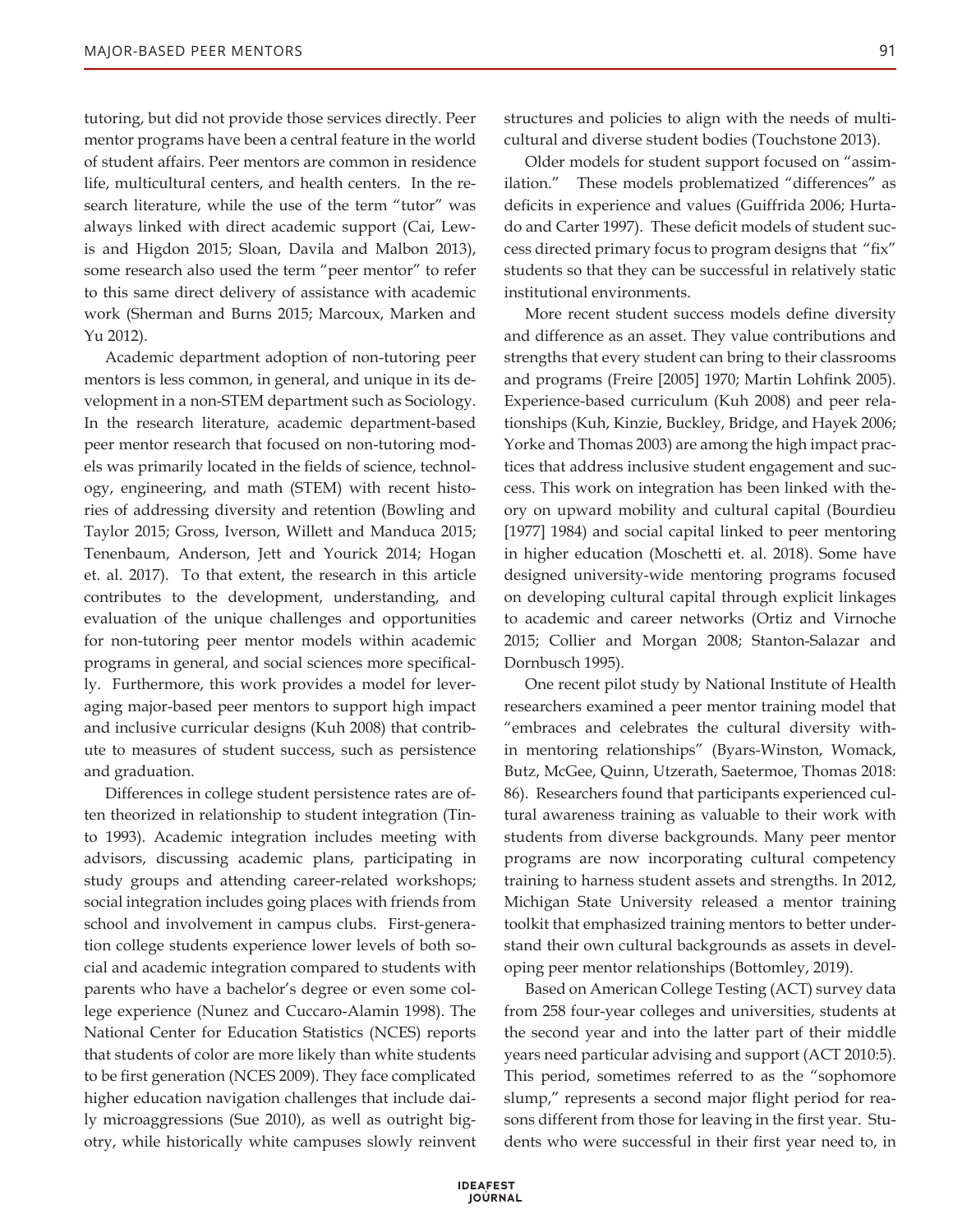tutoring, but did not provide those services directly. Peer mentor programs have been a central feature in the world of student affairs. Peer mentors are common in residence life, multicultural centers, and health centers. In the research literature, while the use of the term "tutor" was always linked with direct academic support (Cai, Lewis and Higdon 2015; Sloan, Davila and Malbon 2013), some research also used the term "peer mentor" to refer to this same direct delivery of assistance with academic work (Sherman and Burns 2015; Marcoux, Marken and Yu 2012).

Academic department adoption of non-tutoring peer mentors is less common, in general, and unique in its development in a non-STEM department such as Sociology. In the research literature, academic department-based peer mentor research that focused on non-tutoring models was primarily located in the fields of science, technology, engineering, and math (STEM) with recent histories of addressing diversity and retention (Bowling and Taylor 2015; Gross, Iverson, Willett and Manduca 2015; Tenenbaum, Anderson, Jett and Yourick 2014; Hogan et. al. 2017). To that extent, the research in this article contributes to the development, understanding, and evaluation of the unique challenges and opportunities for non-tutoring peer mentor models within academic programs in general, and social sciences more specifically. Furthermore, this work provides a model for leveraging major-based peer mentors to support high impact and inclusive curricular designs (Kuh 2008) that contribute to measures of student success, such as persistence and graduation.

Differences in college student persistence rates are often theorized in relationship to student integration (Tinto 1993). Academic integration includes meeting with advisors, discussing academic plans, participating in study groups and attending career-related workshops; social integration includes going places with friends from school and involvement in campus clubs. First-generation college students experience lower levels of both social and academic integration compared to students with parents who have a bachelor's degree or even some college experience (Nunez and Cuccaro-Alamin 1998). The National Center for Education Statistics (NCES) reports that students of color are more likely than white students to be first generation (NCES 2009). They face complicated higher education navigation challenges that include daily microaggressions (Sue 2010), as well as outright bigotry, while historically white campuses slowly reinvent

structures and policies to align with the needs of multicultural and diverse student bodies (Touchstone 2013).

Older models for student support focused on "assimilation." These models problematized "differences" as deficits in experience and values (Guiffrida 2006; Hurtado and Carter 1997). These deficit models of student success directed primary focus to program designs that "fix" students so that they can be successful in relatively static institutional environments.

More recent student success models define diversity and difference as an asset. They value contributions and strengths that every student can bring to their classrooms and programs (Freire [2005] 1970; Martin Lohfink 2005). Experience-based curriculum (Kuh 2008) and peer relationships (Kuh, Kinzie, Buckley, Bridge, and Hayek 2006; Yorke and Thomas 2003) are among the high impact practices that address inclusive student engagement and success. This work on integration has been linked with theory on upward mobility and cultural capital (Bourdieu [1977] 1984) and social capital linked to peer mentoring in higher education (Moschetti et. al. 2018). Some have designed university-wide mentoring programs focused on developing cultural capital through explicit linkages to academic and career networks (Ortiz and Virnoche 2015; Collier and Morgan 2008; Stanton-Salazar and Dornbusch 1995).

One recent pilot study by National Institute of Health researchers examined a peer mentor training model that "embraces and celebrates the cultural diversity within mentoring relationships" (Byars-Winston, Womack, Butz, McGee, Quinn, Utzerath, Saetermoe, Thomas 2018: 86). Researchers found that participants experienced cultural awareness training as valuable to their work with students from diverse backgrounds. Many peer mentor programs are now incorporating cultural competency training to harness student assets and strengths. In 2012, Michigan State University released a mentor training toolkit that emphasized training mentors to better understand their own cultural backgrounds as assets in developing peer mentor relationships (Bottomley, 2019).

Based on American College Testing (ACT) survey data from 258 four-year colleges and universities, students at the second year and into the latter part of their middle years need particular advising and support (ACT 2010:5). This period, sometimes referred to as the "sophomore slump," represents a second major flight period for reasons different from those for leaving in the first year. Students who were successful in their first year need to, in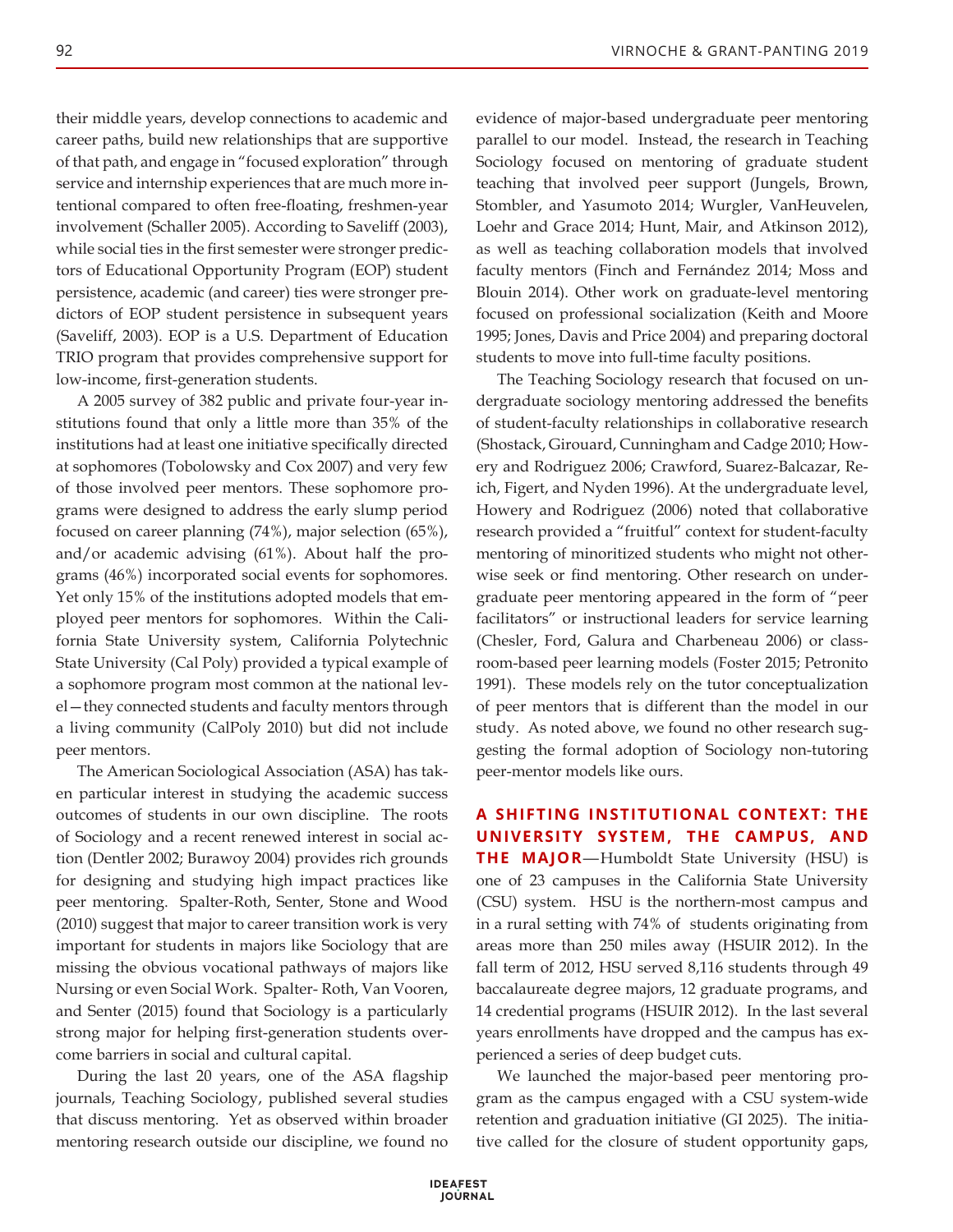their middle years, develop connections to academic and career paths, build new relationships that are supportive of that path, and engage in "focused exploration" through service and internship experiences that are much more intentional compared to often free-floating, freshmen-year involvement (Schaller 2005). According to Saveliff (2003), while social ties in the first semester were stronger predictors of Educational Opportunity Program (EOP) student persistence, academic (and career) ties were stronger predictors of EOP student persistence in subsequent years (Saveliff, 2003). EOP is a U.S. Department of Education TRIO program that provides comprehensive support for low-income, first-generation students.

A 2005 survey of 382 public and private four-year institutions found that only a little more than 35% of the institutions had at least one initiative specifically directed at sophomores (Tobolowsky and Cox 2007) and very few of those involved peer mentors. These sophomore programs were designed to address the early slump period focused on career planning (74%), major selection (65%), and/or academic advising (61%). About half the programs (46%) incorporated social events for sophomores. Yet only 15% of the institutions adopted models that employed peer mentors for sophomores. Within the California State University system, California Polytechnic State University (Cal Poly) provided a typical example of a sophomore program most common at the national level—they connected students and faculty mentors through a living community (CalPoly 2010) but did not include peer mentors.

The American Sociological Association (ASA) has taken particular interest in studying the academic success outcomes of students in our own discipline. The roots of Sociology and a recent renewed interest in social action (Dentler 2002; Burawoy 2004) provides rich grounds for designing and studying high impact practices like peer mentoring. Spalter-Roth, Senter, Stone and Wood (2010) suggest that major to career transition work is very important for students in majors like Sociology that are missing the obvious vocational pathways of majors like Nursing or even Social Work. Spalter- Roth, Van Vooren, and Senter (2015) found that Sociology is a particularly strong major for helping first-generation students overcome barriers in social and cultural capital.

During the last 20 years, one of the ASA flagship journals, Teaching Sociology, published several studies that discuss mentoring. Yet as observed within broader mentoring research outside our discipline, we found no

evidence of major-based undergraduate peer mentoring parallel to our model. Instead, the research in Teaching Sociology focused on mentoring of graduate student teaching that involved peer support (Jungels, Brown, Stombler, and Yasumoto 2014; Wurgler, VanHeuvelen, Loehr and Grace 2014; Hunt, Mair, and Atkinson 2012), as well as teaching collaboration models that involved faculty mentors (Finch and Fernández 2014; Moss and Blouin 2014). Other work on graduate-level mentoring focused on professional socialization (Keith and Moore 1995; Jones, Davis and Price 2004) and preparing doctoral students to move into full-time faculty positions.

The Teaching Sociology research that focused on undergraduate sociology mentoring addressed the benefits of student-faculty relationships in collaborative research (Shostack, Girouard, Cunningham and Cadge 2010; Howery and Rodriguez 2006; Crawford, Suarez-Balcazar, Reich, Figert, and Nyden 1996). At the undergraduate level, Howery and Rodriguez (2006) noted that collaborative research provided a "fruitful" context for student-faculty mentoring of minoritized students who might not otherwise seek or find mentoring. Other research on undergraduate peer mentoring appeared in the form of "peer facilitators" or instructional leaders for service learning (Chesler, Ford, Galura and Charbeneau 2006) or classroom-based peer learning models (Foster 2015; Petronito 1991). These models rely on the tutor conceptualization of peer mentors that is different than the model in our study. As noted above, we found no other research suggesting the formal adoption of Sociology non-tutoring peer-mentor models like ours.

**A SHIFTING INSTITUTIONAL CONTEXT: THE UNIVERSITY SYSTEM, THE CAMPUS, AND THE MAJOR**—Humboldt State University (HSU) is one of 23 campuses in the California State University (CSU) system. HSU is the northern-most campus and in a rural setting with 74% of students originating from areas more than 250 miles away (HSUIR 2012). In the fall term of 2012, HSU served 8,116 students through 49 baccalaureate degree majors, 12 graduate programs, and 14 credential programs (HSUIR 2012). In the last several years enrollments have dropped and the campus has experienced a series of deep budget cuts.

We launched the major-based peer mentoring program as the campus engaged with a CSU system-wide retention and graduation initiative (GI 2025). The initiative called for the closure of student opportunity gaps,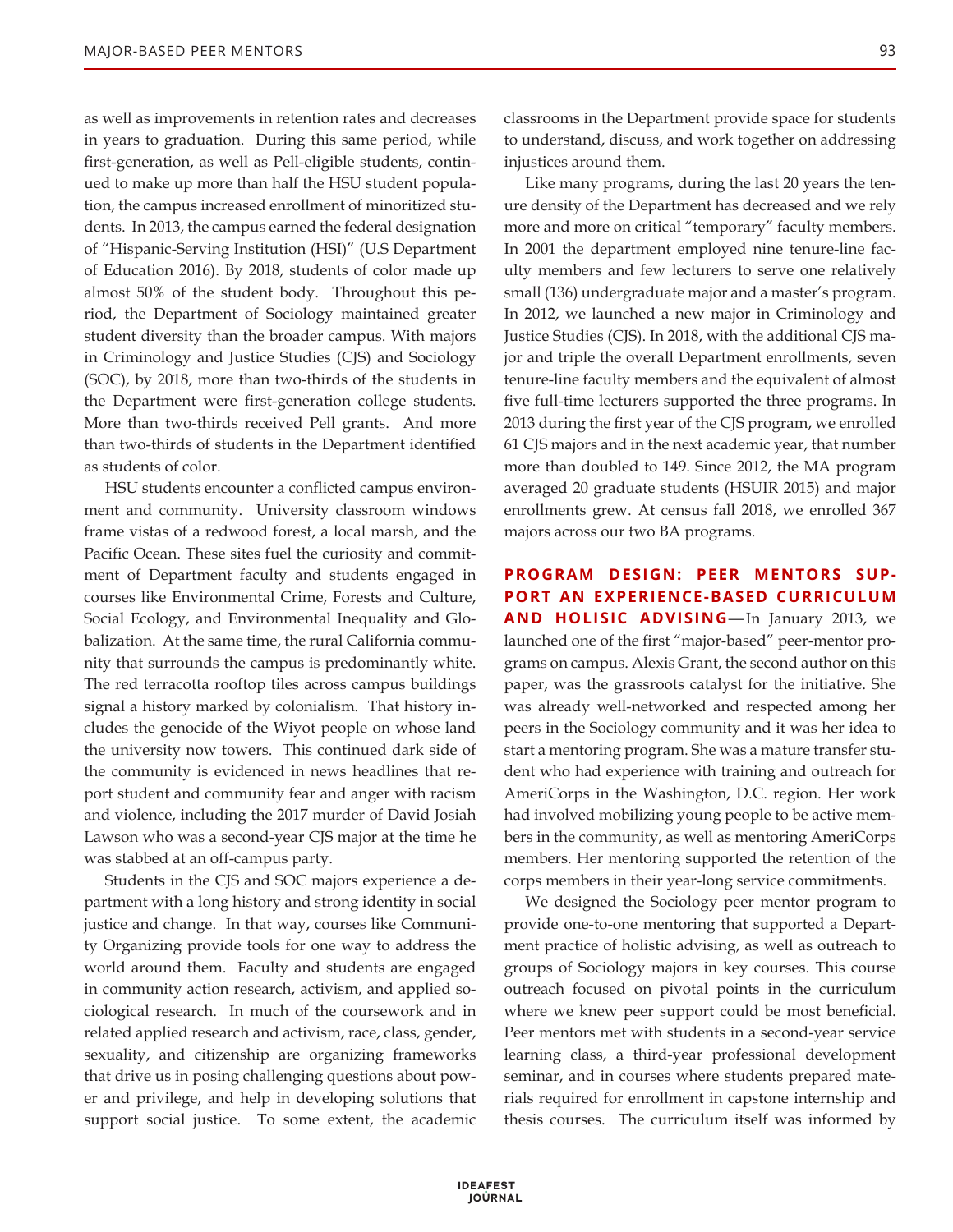as well as improvements in retention rates and decreases in years to graduation. During this same period, while first-generation, as well as Pell-eligible students, continued to make up more than half the HSU student population, the campus increased enrollment of minoritized students. In 2013, the campus earned the federal designation of "Hispanic-Serving Institution (HSI)" (U.S Department of Education 2016). By 2018, students of color made up almost 50% of the student body. Throughout this period, the Department of Sociology maintained greater student diversity than the broader campus. With majors in Criminology and Justice Studies (CJS) and Sociology (SOC), by 2018, more than two-thirds of the students in the Department were first-generation college students. More than two-thirds received Pell grants. And more than two-thirds of students in the Department identified as students of color.

HSU students encounter a conflicted campus environment and community. University classroom windows frame vistas of a redwood forest, a local marsh, and the Pacific Ocean. These sites fuel the curiosity and commitment of Department faculty and students engaged in courses like Environmental Crime, Forests and Culture, Social Ecology, and Environmental Inequality and Globalization. At the same time, the rural California community that surrounds the campus is predominantly white. The red terracotta rooftop tiles across campus buildings signal a history marked by colonialism. That history includes the genocide of the Wiyot people on whose land the university now towers. This continued dark side of the community is evidenced in news headlines that report student and community fear and anger with racism and violence, including the 2017 murder of David Josiah Lawson who was a second-year CJS major at the time he was stabbed at an off-campus party.

Students in the CJS and SOC majors experience a department with a long history and strong identity in social justice and change. In that way, courses like Community Organizing provide tools for one way to address the world around them. Faculty and students are engaged in community action research, activism, and applied sociological research. In much of the coursework and in related applied research and activism, race, class, gender, sexuality, and citizenship are organizing frameworks that drive us in posing challenging questions about power and privilege, and help in developing solutions that support social justice. To some extent, the academic classrooms in the Department provide space for students to understand, discuss, and work together on addressing injustices around them.

Like many programs, during the last 20 years the tenure density of the Department has decreased and we rely more and more on critical "temporary" faculty members. In 2001 the department employed nine tenure-line faculty members and few lecturers to serve one relatively small (136) undergraduate major and a master's program. In 2012, we launched a new major in Criminology and Justice Studies (CJS). In 2018, with the additional CJS major and triple the overall Department enrollments, seven tenure-line faculty members and the equivalent of almost five full-time lecturers supported the three programs. In 2013 during the first year of the CJS program, we enrolled 61 CJS majors and in the next academic year, that number more than doubled to 149. Since 2012, the MA program averaged 20 graduate students (HSUIR 2015) and major enrollments grew. At census fall 2018, we enrolled 367 majors across our two BA programs.

#### **PROGRAM DESIGN: PEER MENTORS SUP-PORT AN EXPERIENCE-BASED CURRICULUM AND HOLISIC ADVISING**—In January 2013, we

launched one of the first "major-based" peer-mentor programs on campus. Alexis Grant, the second author on this paper, was the grassroots catalyst for the initiative. She was already well-networked and respected among her peers in the Sociology community and it was her idea to start a mentoring program. She was a mature transfer student who had experience with training and outreach for AmeriCorps in the Washington, D.C. region. Her work had involved mobilizing young people to be active members in the community, as well as mentoring AmeriCorps members. Her mentoring supported the retention of the corps members in their year-long service commitments.

We designed the Sociology peer mentor program to provide one-to-one mentoring that supported a Department practice of holistic advising, as well as outreach to groups of Sociology majors in key courses. This course outreach focused on pivotal points in the curriculum where we knew peer support could be most beneficial. Peer mentors met with students in a second-year service learning class, a third-year professional development seminar, and in courses where students prepared materials required for enrollment in capstone internship and thesis courses. The curriculum itself was informed by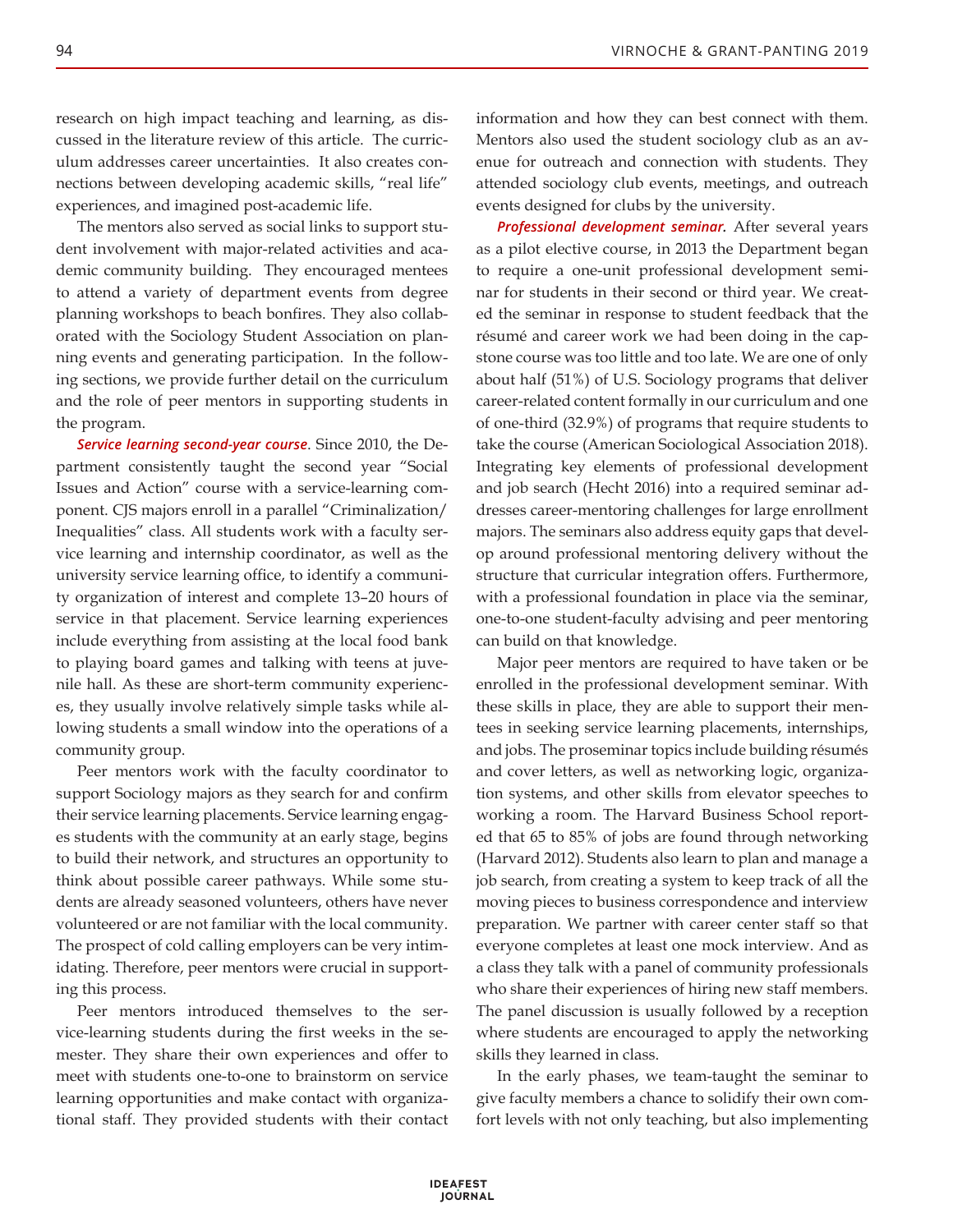research on high impact teaching and learning, as discussed in the literature review of this article. The curriculum addresses career uncertainties. It also creates connections between developing academic skills, "real life" experiences, and imagined post-academic life.

The mentors also served as social links to support student involvement with major-related activities and academic community building. They encouraged mentees to attend a variety of department events from degree planning workshops to beach bonfires. They also collaborated with the Sociology Student Association on planning events and generating participation. In the following sections, we provide further detail on the curriculum and the role of peer mentors in supporting students in the program.

*Service learning second-year course*. Since 2010, the Department consistently taught the second year "Social Issues and Action" course with a service-learning component. CJS majors enroll in a parallel "Criminalization/ Inequalities" class. All students work with a faculty service learning and internship coordinator, as well as the university service learning office, to identify a community organization of interest and complete 13–20 hours of service in that placement. Service learning experiences include everything from assisting at the local food bank to playing board games and talking with teens at juvenile hall. As these are short-term community experiences, they usually involve relatively simple tasks while allowing students a small window into the operations of a community group.

Peer mentors work with the faculty coordinator to support Sociology majors as they search for and confirm their service learning placements. Service learning engages students with the community at an early stage, begins to build their network, and structures an opportunity to think about possible career pathways. While some students are already seasoned volunteers, others have never volunteered or are not familiar with the local community. The prospect of cold calling employers can be very intimidating. Therefore, peer mentors were crucial in supporting this process.

Peer mentors introduced themselves to the service-learning students during the first weeks in the semester. They share their own experiences and offer to meet with students one-to-one to brainstorm on service learning opportunities and make contact with organizational staff. They provided students with their contact information and how they can best connect with them. Mentors also used the student sociology club as an avenue for outreach and connection with students. They attended sociology club events, meetings, and outreach events designed for clubs by the university.

*Professional development seminar.* After several years as a pilot elective course, in 2013 the Department began to require a one-unit professional development seminar for students in their second or third year. We created the seminar in response to student feedback that the résumé and career work we had been doing in the capstone course was too little and too late. We are one of only about half (51%) of U.S. Sociology programs that deliver career-related content formally in our curriculum and one of one-third (32.9%) of programs that require students to take the course (American Sociological Association 2018). Integrating key elements of professional development and job search (Hecht 2016) into a required seminar addresses career-mentoring challenges for large enrollment majors. The seminars also address equity gaps that develop around professional mentoring delivery without the structure that curricular integration offers. Furthermore, with a professional foundation in place via the seminar, one-to-one student-faculty advising and peer mentoring can build on that knowledge.

Major peer mentors are required to have taken or be enrolled in the professional development seminar. With these skills in place, they are able to support their mentees in seeking service learning placements, internships, and jobs. The proseminar topics include building résumés and cover letters, as well as networking logic, organization systems, and other skills from elevator speeches to working a room. The Harvard Business School reported that 65 to 85% of jobs are found through networking (Harvard 2012). Students also learn to plan and manage a job search, from creating a system to keep track of all the moving pieces to business correspondence and interview preparation. We partner with career center staff so that everyone completes at least one mock interview. And as a class they talk with a panel of community professionals who share their experiences of hiring new staff members. The panel discussion is usually followed by a reception where students are encouraged to apply the networking skills they learned in class.

In the early phases, we team-taught the seminar to give faculty members a chance to solidify their own comfort levels with not only teaching, but also implementing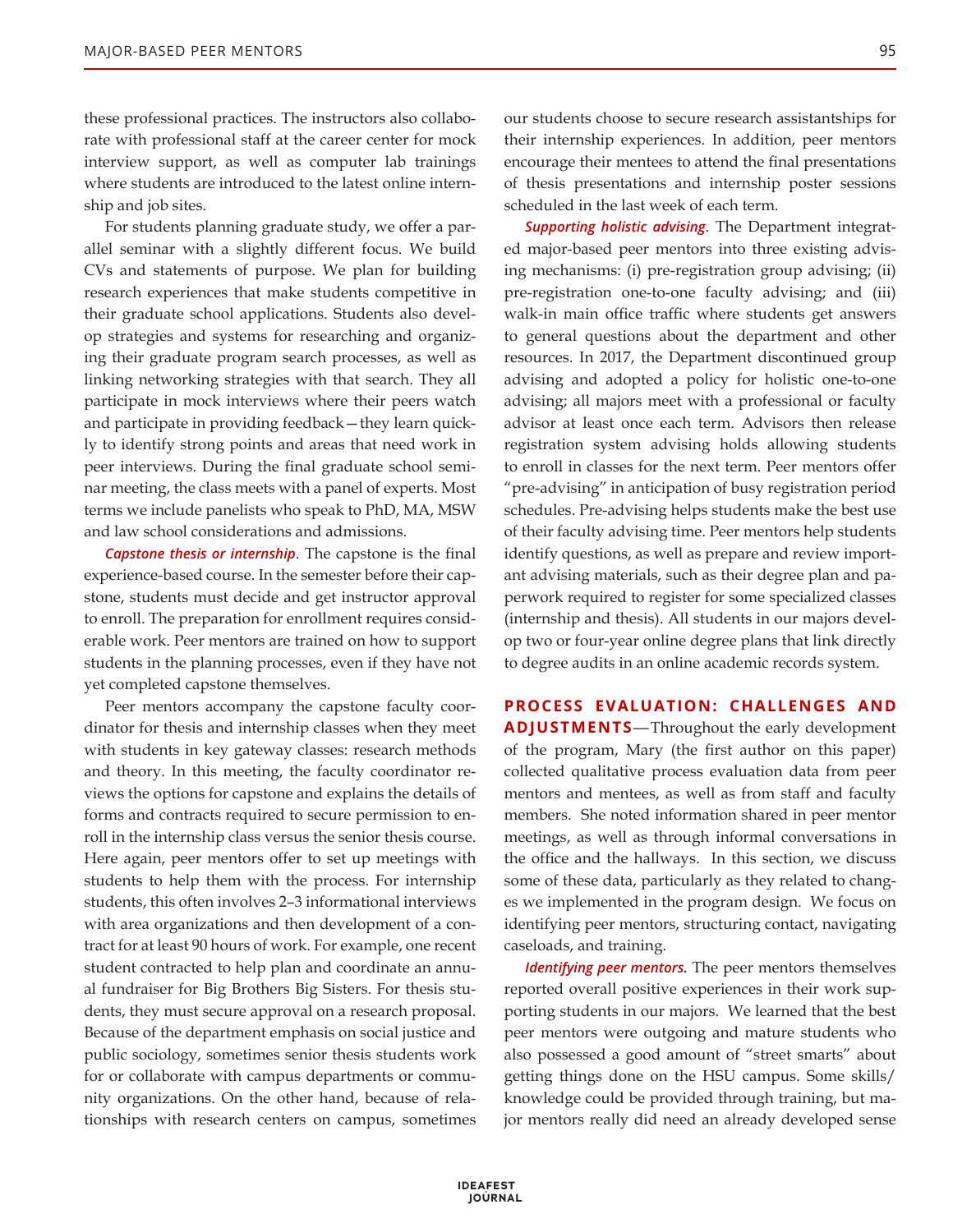these professional practices. The instructors also collaborate with professional staff at the career center for mock interview support, as well as computer lab trainings where students are introduced to the latest online internship and job sites.

For students planning graduate study, we offer a parallel seminar with a slightly different focus. We build CVs and statements of purpose. We plan for building research experiences that make students competitive in their graduate school applications. Students also develop strategies and systems for researching and organizing their graduate program search processes, as well as linking networking strategies with that search. They all participate in mock interviews where their peers watch and participate in providing feedback—they learn quickly to identify strong points and areas that need work in peer interviews. During the final graduate school seminar meeting, the class meets with a panel of experts. Most terms we include panelists who speak to PhD, MA, MSW and law school considerations and admissions.

*Capstone thesis or internship*. The capstone is the final experience-based course. In the semester before their capstone, students must decide and get instructor approval to enroll. The preparation for enrollment requires considerable work. Peer mentors are trained on how to support students in the planning processes, even if they have not yet completed capstone themselves.

Peer mentors accompany the capstone faculty coordinator for thesis and internship classes when they meet with students in key gateway classes: research methods and theory. In this meeting, the faculty coordinator reviews the options for capstone and explains the details of forms and contracts required to secure permission to enroll in the internship class versus the senior thesis course. Here again, peer mentors offer to set up meetings with students to help them with the process. For internship students, this often involves 2–3 informational interviews with area organizations and then development of a contract for at least 90 hours of work. For example, one recent student contracted to help plan and coordinate an annual fundraiser for Big Brothers Big Sisters. For thesis students, they must secure approval on a research proposal. Because of the department emphasis on social justice and public sociology, sometimes senior thesis students work for or collaborate with campus departments or community organizations. On the other hand, because of relationships with research centers on campus, sometimes our students choose to secure research assistantships for their internship experiences. In addition, peer mentors encourage their mentees to attend the final presentations of thesis presentations and internship poster sessions scheduled in the last week of each term.

*Supporting holistic advising*. The Department integrated major-based peer mentors into three existing advising mechanisms: (i) pre-registration group advising; (ii) pre-registration one-to-one faculty advising; and (iii) walk-in main office traffic where students get answers to general questions about the department and other resources. In 2017, the Department discontinued group advising and adopted a policy for holistic one-to-one advising; all majors meet with a professional or faculty advisor at least once each term. Advisors then release registration system advising holds allowing students to enroll in classes for the next term. Peer mentors offer "pre-advising" in anticipation of busy registration period schedules. Pre-advising helps students make the best use of their faculty advising time. Peer mentors help students identify questions, as well as prepare and review important advising materials, such as their degree plan and paperwork required to register for some specialized classes (internship and thesis). All students in our majors develop two or four-year online degree plans that link directly to degree audits in an online academic records system.

**PROCESS EVALUATION: CHALLENGES AND ADJUSTMENTS**—Throughout the early development of the program, Mary (the first author on this paper) collected qualitative process evaluation data from peer mentors and mentees, as well as from staff and faculty members. She noted information shared in peer mentor meetings, as well as through informal conversations in the office and the hallways. In this section, we discuss some of these data, particularly as they related to changes we implemented in the program design. We focus on identifying peer mentors, structuring contact, navigating caseloads, and training.

*Identifying peer mentors.* The peer mentors themselves reported overall positive experiences in their work supporting students in our majors. We learned that the best peer mentors were outgoing and mature students who also possessed a good amount of "street smarts" about getting things done on the HSU campus. Some skills/ knowledge could be provided through training, but major mentors really did need an already developed sense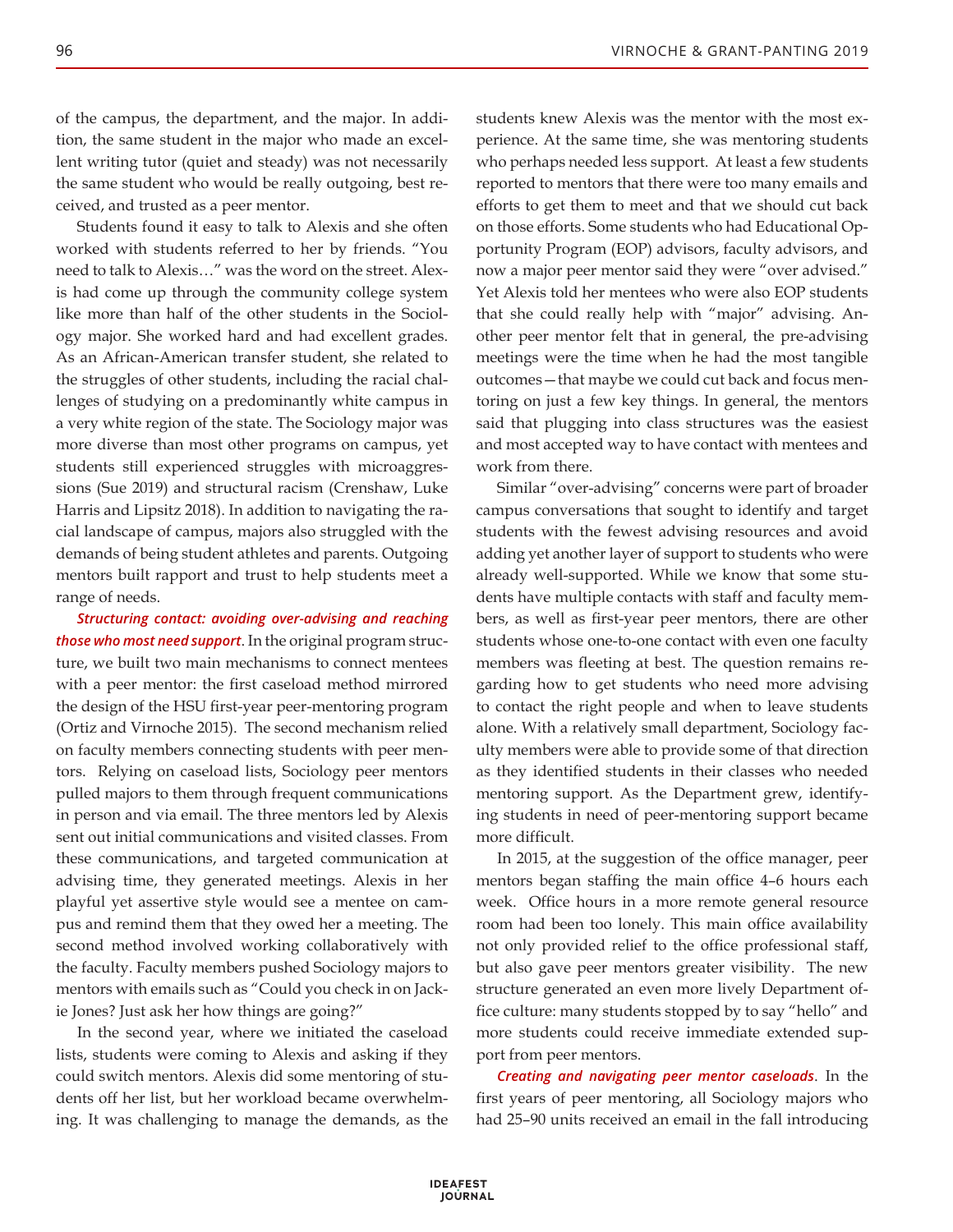of the campus, the department, and the major. In addition, the same student in the major who made an excellent writing tutor (quiet and steady) was not necessarily the same student who would be really outgoing, best received, and trusted as a peer mentor.

Students found it easy to talk to Alexis and she often worked with students referred to her by friends. "You need to talk to Alexis…" was the word on the street. Alexis had come up through the community college system like more than half of the other students in the Sociology major. She worked hard and had excellent grades. As an African-American transfer student, she related to the struggles of other students, including the racial challenges of studying on a predominantly white campus in a very white region of the state. The Sociology major was more diverse than most other programs on campus, yet students still experienced struggles with microaggressions (Sue 2019) and structural racism (Crenshaw, Luke Harris and Lipsitz 2018). In addition to navigating the racial landscape of campus, majors also struggled with the demands of being student athletes and parents. Outgoing mentors built rapport and trust to help students meet a range of needs.

*Structuring contact: avoiding over-advising and reaching those who most need support*. In the original program structure, we built two main mechanisms to connect mentees with a peer mentor: the first caseload method mirrored the design of the HSU first-year peer-mentoring program (Ortiz and Virnoche 2015). The second mechanism relied on faculty members connecting students with peer mentors. Relying on caseload lists, Sociology peer mentors pulled majors to them through frequent communications in person and via email. The three mentors led by Alexis sent out initial communications and visited classes. From these communications, and targeted communication at advising time, they generated meetings. Alexis in her playful yet assertive style would see a mentee on campus and remind them that they owed her a meeting. The second method involved working collaboratively with the faculty. Faculty members pushed Sociology majors to mentors with emails such as "Could you check in on Jackie Jones? Just ask her how things are going?"

In the second year, where we initiated the caseload lists, students were coming to Alexis and asking if they could switch mentors. Alexis did some mentoring of students off her list, but her workload became overwhelming. It was challenging to manage the demands, as the students knew Alexis was the mentor with the most experience. At the same time, she was mentoring students who perhaps needed less support. At least a few students reported to mentors that there were too many emails and efforts to get them to meet and that we should cut back on those efforts. Some students who had Educational Opportunity Program (EOP) advisors, faculty advisors, and now a major peer mentor said they were "over advised." Yet Alexis told her mentees who were also EOP students that she could really help with "major" advising. Another peer mentor felt that in general, the pre-advising meetings were the time when he had the most tangible outcomes—that maybe we could cut back and focus mentoring on just a few key things. In general, the mentors said that plugging into class structures was the easiest and most accepted way to have contact with mentees and work from there.

Similar "over-advising" concerns were part of broader campus conversations that sought to identify and target students with the fewest advising resources and avoid adding yet another layer of support to students who were already well-supported. While we know that some students have multiple contacts with staff and faculty members, as well as first-year peer mentors, there are other students whose one-to-one contact with even one faculty members was fleeting at best. The question remains regarding how to get students who need more advising to contact the right people and when to leave students alone. With a relatively small department, Sociology faculty members were able to provide some of that direction as they identified students in their classes who needed mentoring support. As the Department grew, identifying students in need of peer-mentoring support became more difficult.

In 2015, at the suggestion of the office manager, peer mentors began staffing the main office 4–6 hours each week. Office hours in a more remote general resource room had been too lonely. This main office availability not only provided relief to the office professional staff, but also gave peer mentors greater visibility. The new structure generated an even more lively Department office culture: many students stopped by to say "hello" and more students could receive immediate extended support from peer mentors.

*Creating and navigating peer mentor caseloads*. In the first years of peer mentoring, all Sociology majors who had 25–90 units received an email in the fall introducing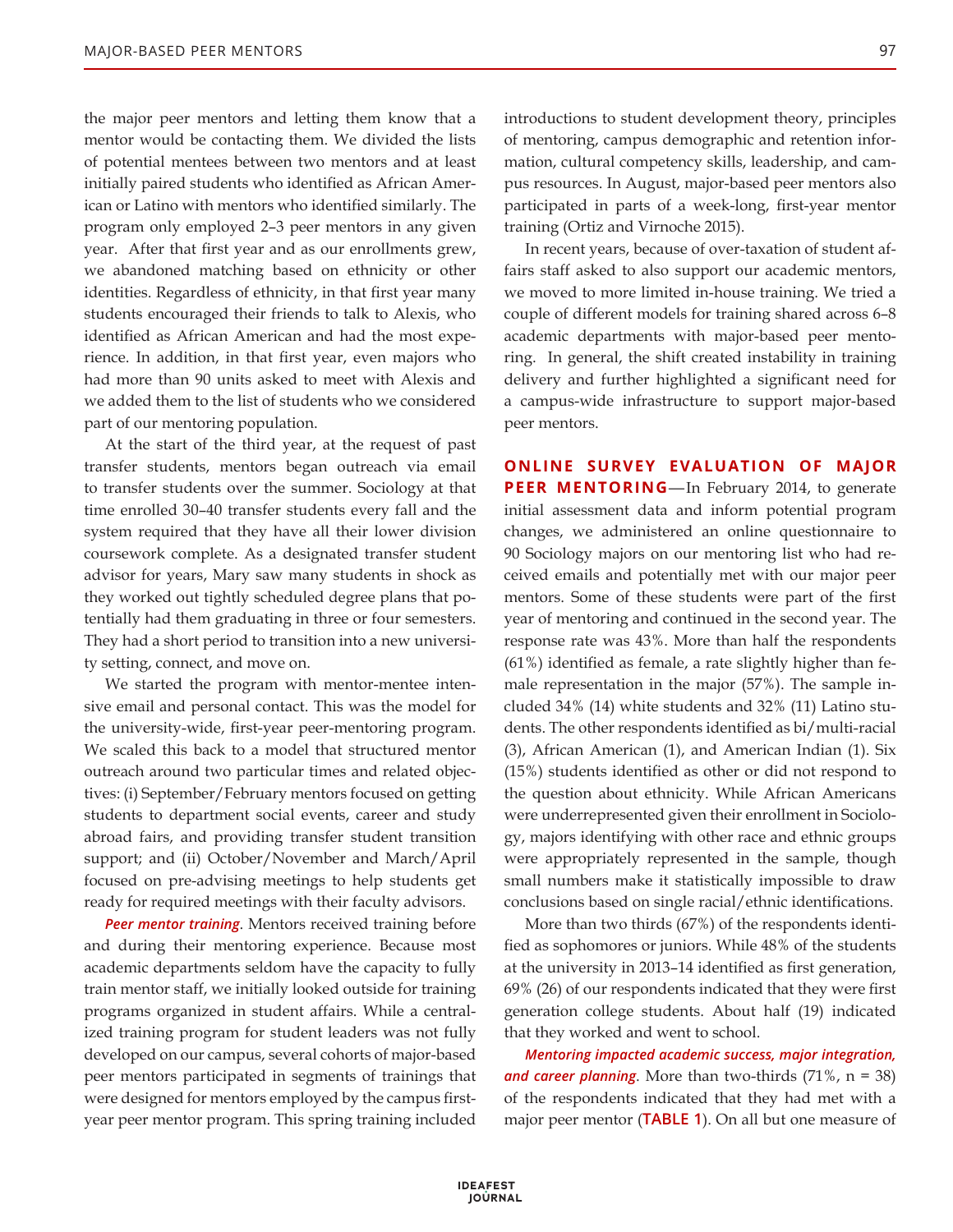the major peer mentors and letting them know that a mentor would be contacting them. We divided the lists of potential mentees between two mentors and at least initially paired students who identified as African American or Latino with mentors who identified similarly. The program only employed 2–3 peer mentors in any given year. After that first year and as our enrollments grew, we abandoned matching based on ethnicity or other identities. Regardless of ethnicity, in that first year many students encouraged their friends to talk to Alexis, who identified as African American and had the most experience. In addition, in that first year, even majors who had more than 90 units asked to meet with Alexis and we added them to the list of students who we considered part of our mentoring population.

At the start of the third year, at the request of past transfer students, mentors began outreach via email to transfer students over the summer. Sociology at that time enrolled 30–40 transfer students every fall and the system required that they have all their lower division coursework complete. As a designated transfer student advisor for years, Mary saw many students in shock as they worked out tightly scheduled degree plans that potentially had them graduating in three or four semesters. They had a short period to transition into a new university setting, connect, and move on.

We started the program with mentor-mentee intensive email and personal contact. This was the model for the university-wide, first-year peer-mentoring program. We scaled this back to a model that structured mentor outreach around two particular times and related objectives: (i) September/February mentors focused on getting students to department social events, career and study abroad fairs, and providing transfer student transition support; and (ii) October/November and March/April focused on pre-advising meetings to help students get ready for required meetings with their faculty advisors.

*Peer mentor training*. Mentors received training before and during their mentoring experience. Because most academic departments seldom have the capacity to fully train mentor staff, we initially looked outside for training programs organized in student affairs. While a centralized training program for student leaders was not fully developed on our campus, several cohorts of major-based peer mentors participated in segments of trainings that were designed for mentors employed by the campus firstyear peer mentor program. This spring training included

introductions to student development theory, principles of mentoring, campus demographic and retention information, cultural competency skills, leadership, and campus resources. In August, major-based peer mentors also participated in parts of a week-long, first-year mentor training (Ortiz and Virnoche 2015).

In recent years, because of over-taxation of student affairs staff asked to also support our academic mentors, we moved to more limited in-house training. We tried a couple of different models for training shared across 6–8 academic departments with major-based peer mentoring. In general, the shift created instability in training delivery and further highlighted a significant need for a campus-wide infrastructure to support major-based peer mentors.

**ONLINE SURVEY EVALUATION OF MAJOR PEER MENTORING**—In February 2014, to generate initial assessment data and inform potential program changes, we administered an online questionnaire to 90 Sociology majors on our mentoring list who had received emails and potentially met with our major peer mentors. Some of these students were part of the first year of mentoring and continued in the second year. The response rate was 43%. More than half the respondents (61%) identified as female, a rate slightly higher than female representation in the major (57%). The sample included 34% (14) white students and 32% (11) Latino students. The other respondents identified as bi/multi-racial (3), African American (1), and American Indian (1). Six (15%) students identified as other or did not respond to the question about ethnicity. While African Americans were underrepresented given their enrollment in Sociology, majors identifying with other race and ethnic groups were appropriately represented in the sample, though small numbers make it statistically impossible to draw conclusions based on single racial/ethnic identifications.

More than two thirds (67%) of the respondents identified as sophomores or juniors. While 48% of the students at the university in 2013–14 identified as first generation, 69% (26) of our respondents indicated that they were first generation college students. About half (19) indicated that they worked and went to school.

*Mentoring impacted academic success, major integration,*  and career planning. More than two-thirds  $(71\% , n = 38)$ of the respondents indicated that they had met with a major peer mentor (**TABLE 1**). On all but one measure of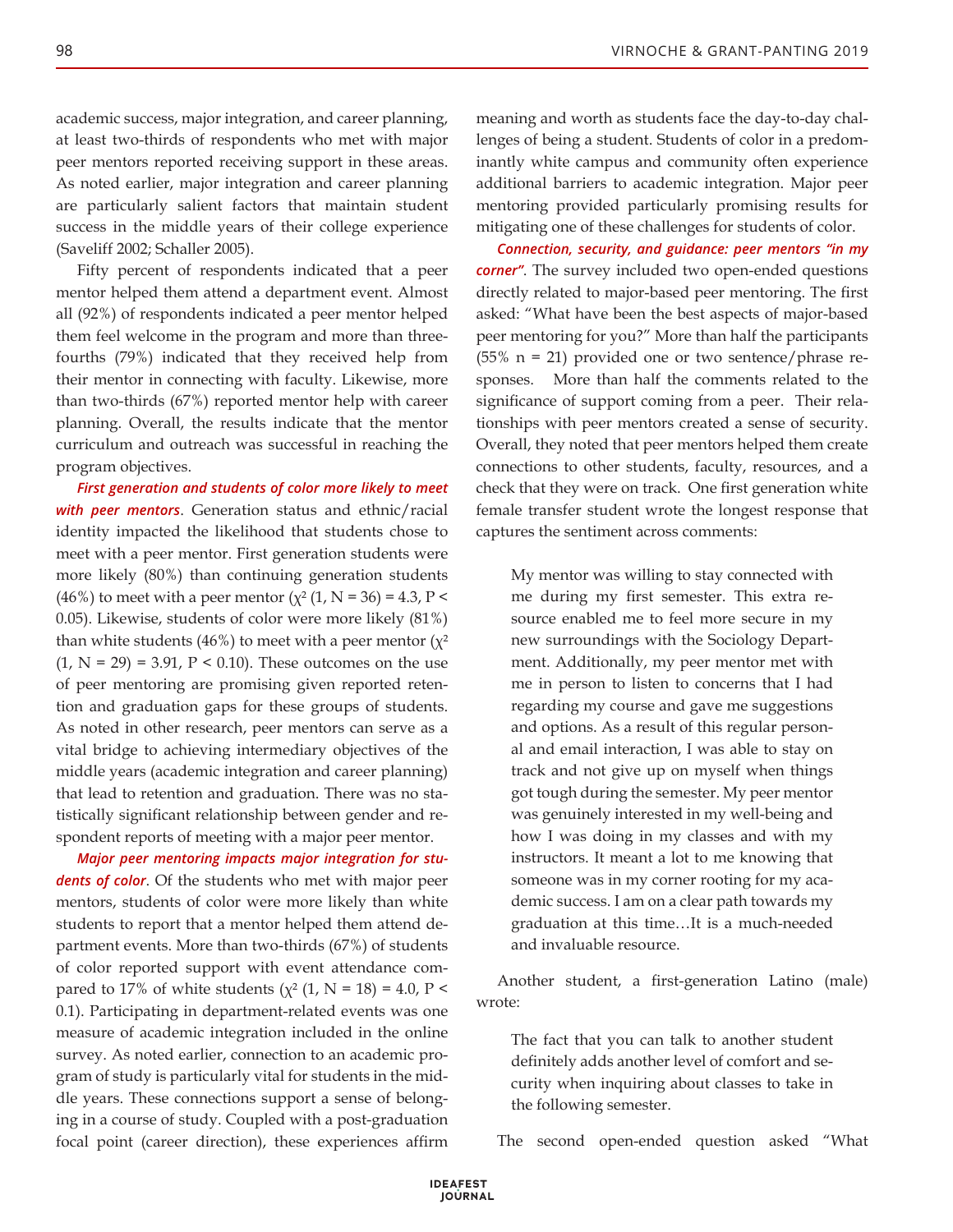academic success, major integration, and career planning, at least two-thirds of respondents who met with major peer mentors reported receiving support in these areas. As noted earlier, major integration and career planning are particularly salient factors that maintain student success in the middle years of their college experience (Saveliff 2002; Schaller 2005).

Fifty percent of respondents indicated that a peer mentor helped them attend a department event. Almost all (92%) of respondents indicated a peer mentor helped them feel welcome in the program and more than threefourths (79%) indicated that they received help from their mentor in connecting with faculty. Likewise, more than two-thirds (67%) reported mentor help with career planning. Overall, the results indicate that the mentor curriculum and outreach was successful in reaching the program objectives.

*First generation and students of color more likely to meet with peer mentors*. Generation status and ethnic/racial identity impacted the likelihood that students chose to meet with a peer mentor. First generation students were more likely (80%) than continuing generation students (46%) to meet with a peer mentor ( $\chi^2$  (1, N = 36) = 4.3, P < 0.05). Likewise, students of color were more likely (81%) than white students (46%) to meet with a peer mentor  $(\chi^2)$  $(1, N = 29) = 3.91, P < 0.10$ . These outcomes on the use of peer mentoring are promising given reported retention and graduation gaps for these groups of students. As noted in other research, peer mentors can serve as a vital bridge to achieving intermediary objectives of the middle years (academic integration and career planning) that lead to retention and graduation. There was no statistically significant relationship between gender and respondent reports of meeting with a major peer mentor.

*Major peer mentoring impacts major integration for students of color*. Of the students who met with major peer mentors, students of color were more likely than white students to report that a mentor helped them attend department events. More than two-thirds (67%) of students of color reported support with event attendance compared to 17% of white students ( $\chi^2$  (1, N = 18) = 4.0, P < 0.1). Participating in department-related events was one measure of academic integration included in the online survey. As noted earlier, connection to an academic program of study is particularly vital for students in the middle years. These connections support a sense of belonging in a course of study. Coupled with a post-graduation focal point (career direction), these experiences affirm

meaning and worth as students face the day-to-day challenges of being a student. Students of color in a predominantly white campus and community often experience additional barriers to academic integration. Major peer mentoring provided particularly promising results for mitigating one of these challenges for students of color.

*Connection, security, and guidance: peer mentors "in my corner"*. The survey included two open-ended questions directly related to major-based peer mentoring. The first asked: "What have been the best aspects of major-based peer mentoring for you?" More than half the participants (55% n = 21) provided one or two sentence/phrase responses. More than half the comments related to the significance of support coming from a peer. Their relationships with peer mentors created a sense of security. Overall, they noted that peer mentors helped them create connections to other students, faculty, resources, and a check that they were on track. One first generation white female transfer student wrote the longest response that captures the sentiment across comments:

My mentor was willing to stay connected with me during my first semester. This extra resource enabled me to feel more secure in my new surroundings with the Sociology Department. Additionally, my peer mentor met with me in person to listen to concerns that I had regarding my course and gave me suggestions and options. As a result of this regular personal and email interaction, I was able to stay on track and not give up on myself when things got tough during the semester. My peer mentor was genuinely interested in my well-being and how I was doing in my classes and with my instructors. It meant a lot to me knowing that someone was in my corner rooting for my academic success. I am on a clear path towards my graduation at this time…It is a much-needed and invaluable resource.

Another student, a first-generation Latino (male) wrote:

The fact that you can talk to another student definitely adds another level of comfort and security when inquiring about classes to take in the following semester.

The second open-ended question asked "What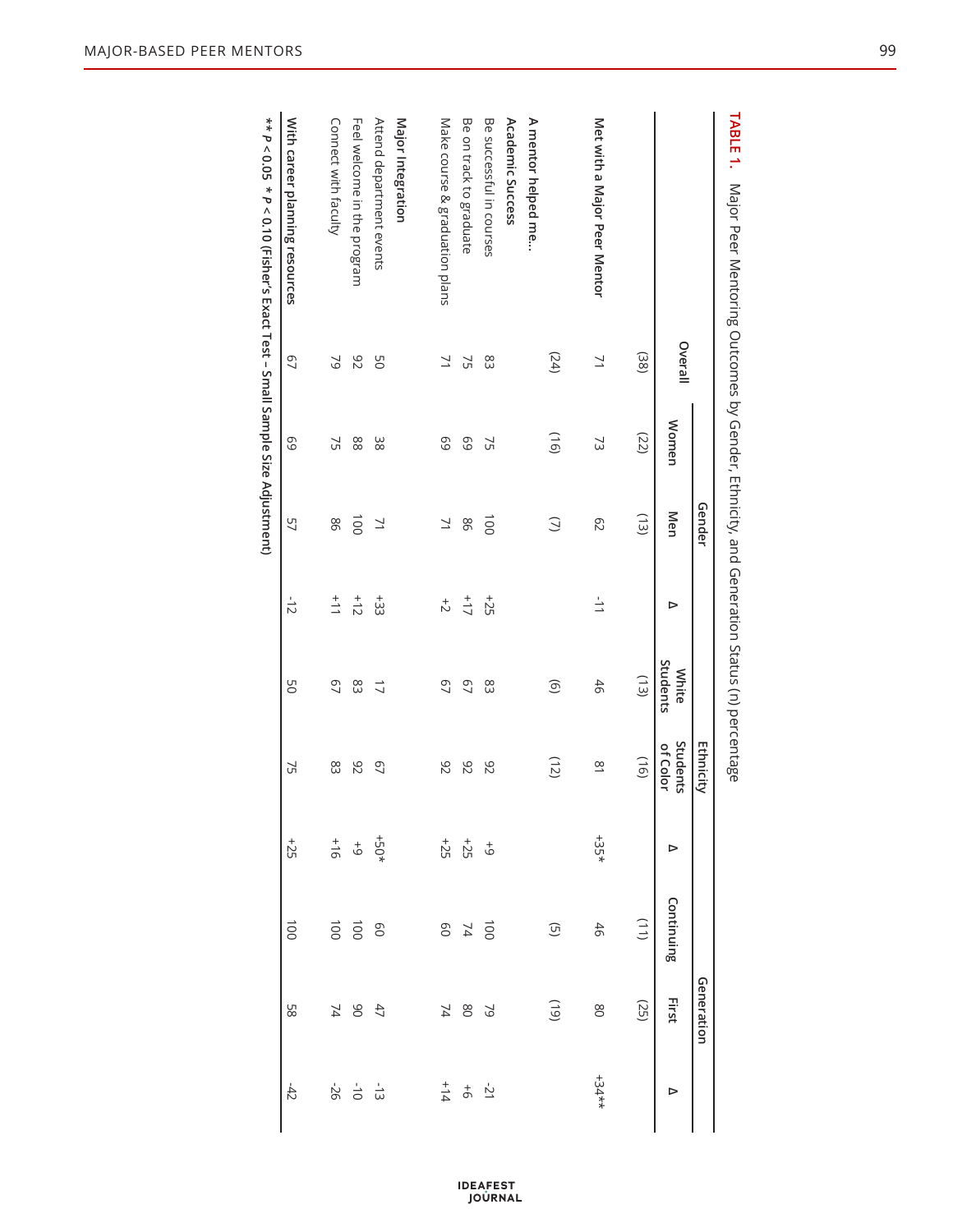|                                        |         |       | Gender         |               |                   | <b>Ethnicity</b>     |                           |                                                                     | Generation                                    |                                           |
|----------------------------------------|---------|-------|----------------|---------------|-------------------|----------------------|---------------------------|---------------------------------------------------------------------|-----------------------------------------------|-------------------------------------------|
|                                        | Overall | Women | Men            | ⊳             | Students<br>White | Students<br>of Color | ⊳                         | Continuing                                                          | First                                         | ⊳                                         |
|                                        | (38)    | (22)  | (13)           |               | (13)              | (16)                 |                           | $(11)$                                                              | (25)                                          |                                           |
| Met with a Major Peer Mentor           | $\geq$  | 53    | C <sub>2</sub> | $\frac{1}{2}$ | 46                | $\frac{8}{3}$        | $+35*$                    | 46                                                                  | 80                                            | $+34**$                                   |
|                                        | (24)    | (91)  | $\supseteq$    |               | $\circledcirc$    | (12)                 |                           | $\widehat{\mathbb{G}}$                                              | (61)                                          |                                           |
| A mentor helped me<br>Academic Success |         |       |                |               |                   |                      |                           |                                                                     |                                               |                                           |
| Be successful in courses               | 83      | 52    | $\overline{5}$ | $+25$         | 83                | 82                   |                           |                                                                     |                                               |                                           |
| Be on track to graduate                | 25      | 69    | 98             | $\frac{1}{2}$ | $\overline{67}$   | 82                   |                           |                                                                     | 78 2                                          |                                           |
| Make course & graduation plans         | 71      | 69    | 71             | $\vec{z}$     | $\overline{67}$   | 82                   |                           | $100$ $40$                                                          |                                               | $\frac{1}{4} + \frac{1}{4}$               |
| Major Integration                      |         |       |                |               |                   |                      |                           |                                                                     |                                               |                                           |
| Attend department events               | 9G      | 38    | 71             | $+33$         | $\overline{L}$    | 07                   |                           |                                                                     |                                               |                                           |
| Feel welcome in the program            | 82      | 88    | $\overline{5}$ | $+12$         | 83                | 82                   |                           | $\begin{array}{c}\n\vdots \\ \hline\n\vdots \\ \hline\n\end{array}$ | $\begin{array}{c} 47 \\ 90 \\ 74 \end{array}$ | $\frac{1}{3}$ $\frac{1}{9}$ $\frac{1}{9}$ |
| Connect with faculty                   | 29      | 75    | 98             | $+11$         | 67                | 83                   | $rac{+}{5}$ + $rac{+}{6}$ |                                                                     |                                               |                                           |
| With career planning resources         | 97      | 69    | 57             | $-15$         | 9G                | 25                   | $+25$                     | 1001                                                                | 89                                            | $-42$                                     |
|                                        |         |       |                |               |                   |                      |                           |                                                                     |                                               |                                           |

TABLE 1. Major Peer Mentoring Outcomes by Gender, Ethnicity, and Generation Status (n) percentage **Table 1.** Major Peer Mentoring Outcomes by Gender, Ethnicity, and Generation Status (n) percentage

**\*\*** *P* **< 0.05 \*** *P* **< 0.10 (Fisher's Exact Test – Small Sample Size Adjustment)**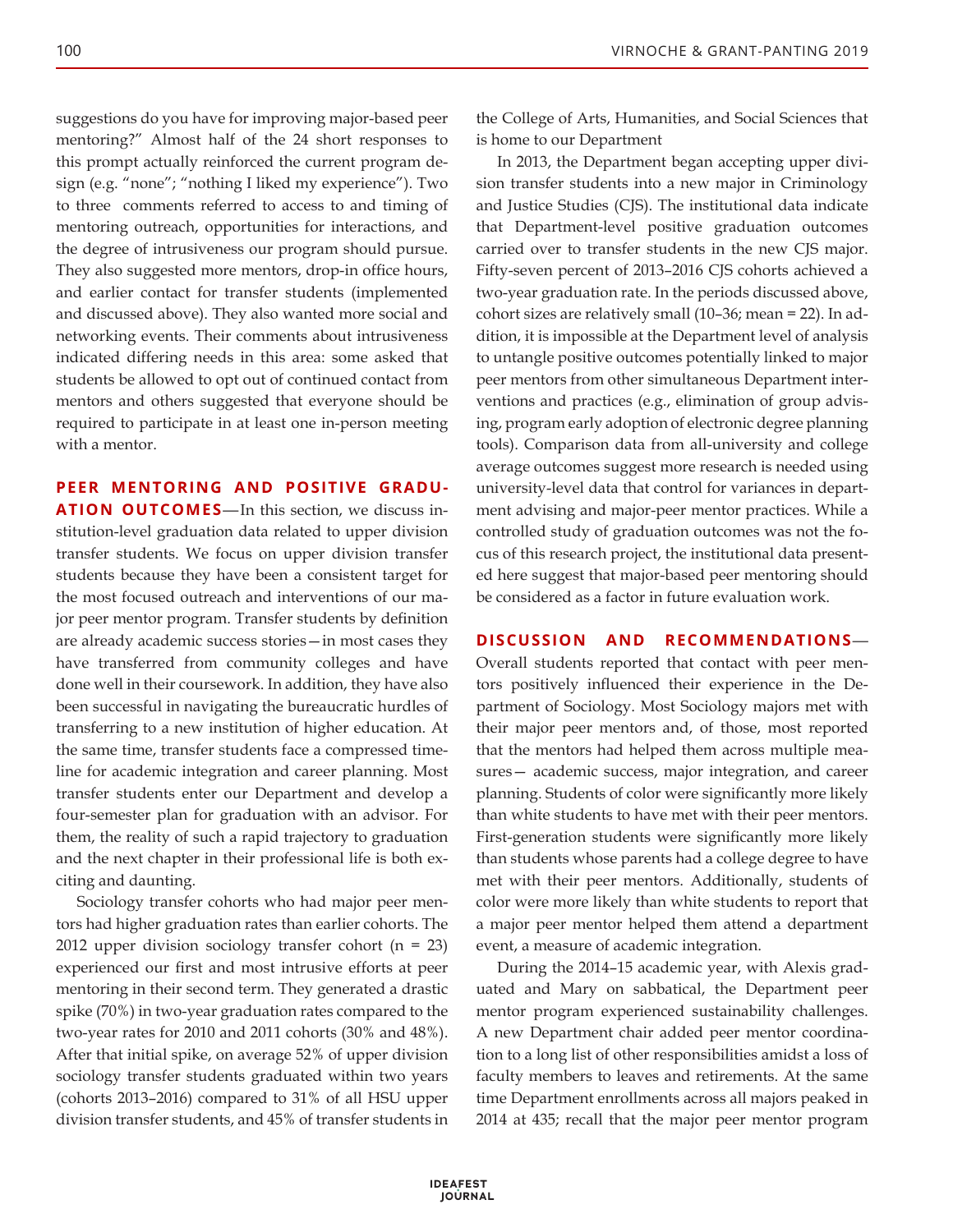suggestions do you have for improving major-based peer mentoring?" Almost half of the 24 short responses to this prompt actually reinforced the current program design (e.g. "none"; "nothing I liked my experience"). Two to three comments referred to access to and timing of mentoring outreach, opportunities for interactions, and the degree of intrusiveness our program should pursue. They also suggested more mentors, drop-in office hours, and earlier contact for transfer students (implemented and discussed above). They also wanted more social and networking events. Their comments about intrusiveness indicated differing needs in this area: some asked that students be allowed to opt out of continued contact from mentors and others suggested that everyone should be required to participate in at least one in-person meeting with a mentor.

**PEER MENTORING AND POSITIVE GRADU-**

**ATION OUTCOMES**—In this section, we discuss institution-level graduation data related to upper division transfer students. We focus on upper division transfer students because they have been a consistent target for the most focused outreach and interventions of our major peer mentor program. Transfer students by definition are already academic success stories—in most cases they have transferred from community colleges and have done well in their coursework. In addition, they have also been successful in navigating the bureaucratic hurdles of transferring to a new institution of higher education. At the same time, transfer students face a compressed timeline for academic integration and career planning. Most transfer students enter our Department and develop a four-semester plan for graduation with an advisor. For them, the reality of such a rapid trajectory to graduation and the next chapter in their professional life is both exciting and daunting.

Sociology transfer cohorts who had major peer mentors had higher graduation rates than earlier cohorts. The 2012 upper division sociology transfer cohort (n = 23) experienced our first and most intrusive efforts at peer mentoring in their second term. They generated a drastic spike (70%) in two-year graduation rates compared to the two-year rates for 2010 and 2011 cohorts (30% and 48%). After that initial spike, on average 52% of upper division sociology transfer students graduated within two years (cohorts 2013–2016) compared to 31% of all HSU upper division transfer students, and 45% of transfer students in

the College of Arts, Humanities, and Social Sciences that is home to our Department

In 2013, the Department began accepting upper division transfer students into a new major in Criminology and Justice Studies (CJS). The institutional data indicate that Department-level positive graduation outcomes carried over to transfer students in the new CJS major. Fifty-seven percent of 2013–2016 CJS cohorts achieved a two-year graduation rate. In the periods discussed above, cohort sizes are relatively small (10–36; mean = 22). In addition, it is impossible at the Department level of analysis to untangle positive outcomes potentially linked to major peer mentors from other simultaneous Department interventions and practices (e.g., elimination of group advising, program early adoption of electronic degree planning tools). Comparison data from all-university and college average outcomes suggest more research is needed using university-level data that control for variances in department advising and major-peer mentor practices. While a controlled study of graduation outcomes was not the focus of this research project, the institutional data presented here suggest that major-based peer mentoring should be considered as a factor in future evaluation work.

#### **DISCUSSION AND RECOMMENDATIONS**—

Overall students reported that contact with peer mentors positively influenced their experience in the Department of Sociology. Most Sociology majors met with their major peer mentors and, of those, most reported that the mentors had helped them across multiple measures— academic success, major integration, and career planning. Students of color were significantly more likely than white students to have met with their peer mentors. First-generation students were significantly more likely than students whose parents had a college degree to have met with their peer mentors. Additionally, students of color were more likely than white students to report that a major peer mentor helped them attend a department event, a measure of academic integration.

During the 2014–15 academic year, with Alexis graduated and Mary on sabbatical, the Department peer mentor program experienced sustainability challenges. A new Department chair added peer mentor coordination to a long list of other responsibilities amidst a loss of faculty members to leaves and retirements. At the same time Department enrollments across all majors peaked in 2014 at 435; recall that the major peer mentor program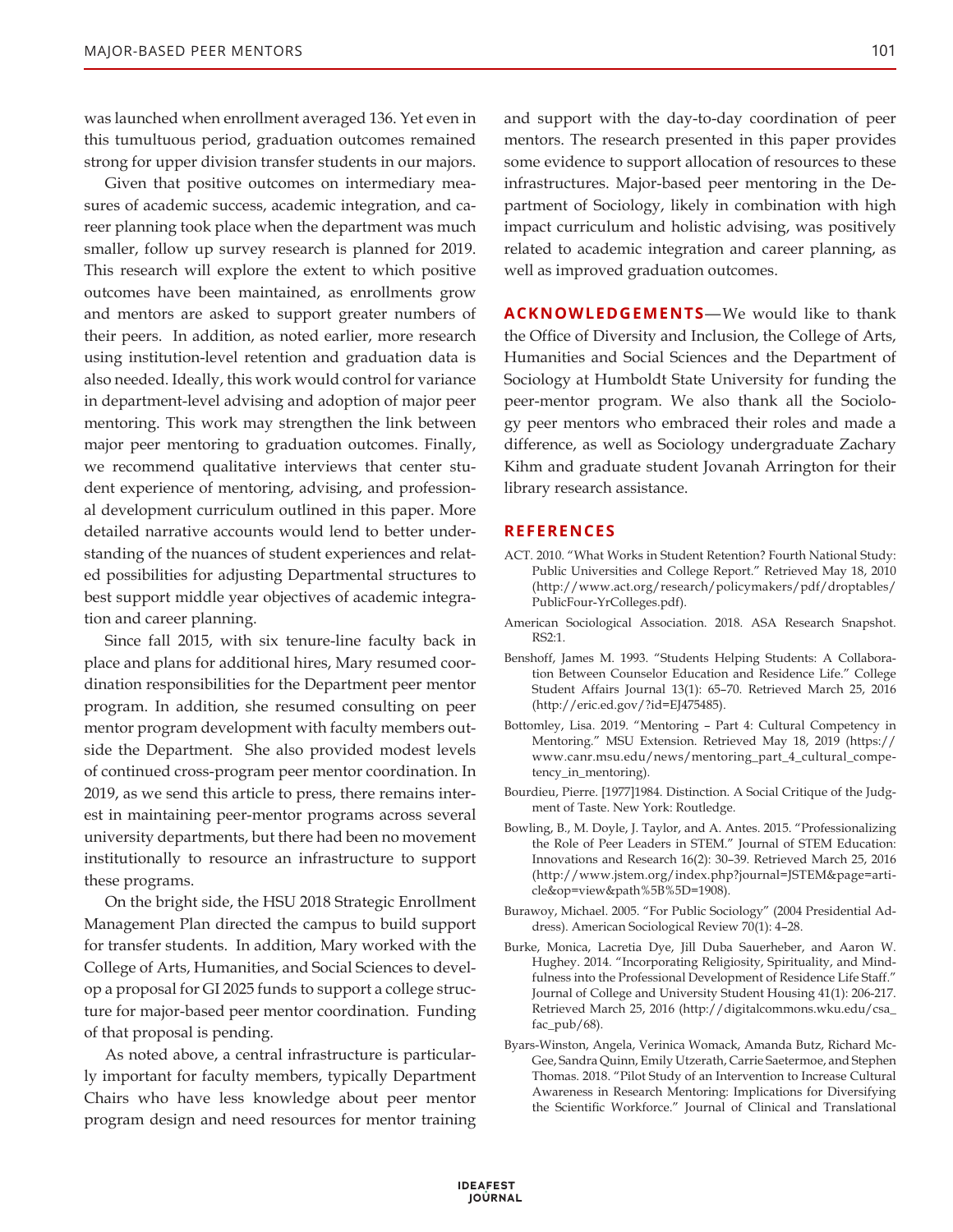was launched when enrollment averaged 136. Yet even in this tumultuous period, graduation outcomes remained strong for upper division transfer students in our majors.

Given that positive outcomes on intermediary measures of academic success, academic integration, and career planning took place when the department was much smaller, follow up survey research is planned for 2019. This research will explore the extent to which positive outcomes have been maintained, as enrollments grow and mentors are asked to support greater numbers of their peers. In addition, as noted earlier, more research using institution-level retention and graduation data is also needed. Ideally, this work would control for variance in department-level advising and adoption of major peer mentoring. This work may strengthen the link between major peer mentoring to graduation outcomes. Finally, we recommend qualitative interviews that center student experience of mentoring, advising, and professional development curriculum outlined in this paper. More detailed narrative accounts would lend to better understanding of the nuances of student experiences and related possibilities for adjusting Departmental structures to best support middle year objectives of academic integration and career planning.

Since fall 2015, with six tenure-line faculty back in place and plans for additional hires, Mary resumed coordination responsibilities for the Department peer mentor program. In addition, she resumed consulting on peer mentor program development with faculty members outside the Department. She also provided modest levels of continued cross-program peer mentor coordination. In 2019, as we send this article to press, there remains interest in maintaining peer-mentor programs across several university departments, but there had been no movement institutionally to resource an infrastructure to support these programs.

On the bright side, the HSU 2018 Strategic Enrollment Management Plan directed the campus to build support for transfer students. In addition, Mary worked with the College of Arts, Humanities, and Social Sciences to develop a proposal for GI 2025 funds to support a college structure for major-based peer mentor coordination. Funding of that proposal is pending.

As noted above, a central infrastructure is particularly important for faculty members, typically Department Chairs who have less knowledge about peer mentor program design and need resources for mentor training and support with the day-to-day coordination of peer mentors. The research presented in this paper provides some evidence to support allocation of resources to these infrastructures. Major-based peer mentoring in the Department of Sociology, likely in combination with high impact curriculum and holistic advising, was positively related to academic integration and career planning, as well as improved graduation outcomes.

**ACKNOWLEDGEMENTS**—We would like to thank the Office of Diversity and Inclusion, the College of Arts, Humanities and Social Sciences and the Department of Sociology at Humboldt State University for funding the peer-mentor program. We also thank all the Sociology peer mentors who embraced their roles and made a difference, as well as Sociology undergraduate Zachary Kihm and graduate student Jovanah Arrington for their library research assistance.

#### **REFERENCES**

- ACT. 2010. "What Works in Student Retention? Fourth National Study: Public Universities and College Report." Retrieved May 18, 2010 (http://www.act.org/research/policymakers/pdf/droptables/ PublicFour-YrColleges.pdf).
- American Sociological Association. 2018. ASA Research Snapshot. RS2:1.
- Benshoff, James M. 1993. "Students Helping Students: A Collaboration Between Counselor Education and Residence Life." College Student Affairs Journal 13(1): 65–70. Retrieved March 25, 2016 (http://eric.ed.gov/?id=EJ475485).
- Bottomley, Lisa. 2019. "Mentoring Part 4: Cultural Competency in Mentoring." MSU Extension. Retrieved May 18, 2019 (https:// www.canr.msu.edu/news/mentoring\_part\_4\_cultural\_competency\_in\_mentoring).
- Bourdieu, Pierre. [1977]1984. Distinction. A Social Critique of the Judgment of Taste. New York: Routledge.
- Bowling, B., M. Doyle, J. Taylor, and A. Antes. 2015. "Professionalizing the Role of Peer Leaders in STEM." Journal of STEM Education: Innovations and Research 16(2): 30–39. Retrieved March 25, 2016 (http://www.jstem.org/index.php?journal=JSTEM&page=article&op=view&path%5B%5D=1908).
- Burawoy, Michael. 2005. "For Public Sociology" (2004 Presidential Address). American Sociological Review 70(1): 4–28.
- Burke, Monica, Lacretia Dye, Jill Duba Sauerheber, and Aaron W. Hughey. 2014. "Incorporating Religiosity, Spirituality, and Mindfulness into the Professional Development of Residence Life Staff." Journal of College and University Student Housing 41(1): 206-217. Retrieved March 25, 2016 (http://digitalcommons.wku.edu/csa\_ fac\_pub/68).
- Byars-Winston, Angela, Verinica Womack, Amanda Butz, Richard Mc-Gee, Sandra Quinn, Emily Utzerath, Carrie Saetermoe, and Stephen Thomas. 2018. "Pilot Study of an Intervention to Increase Cultural Awareness in Research Mentoring: Implications for Diversifying the Scientific Workforce." Journal of Clinical and Translational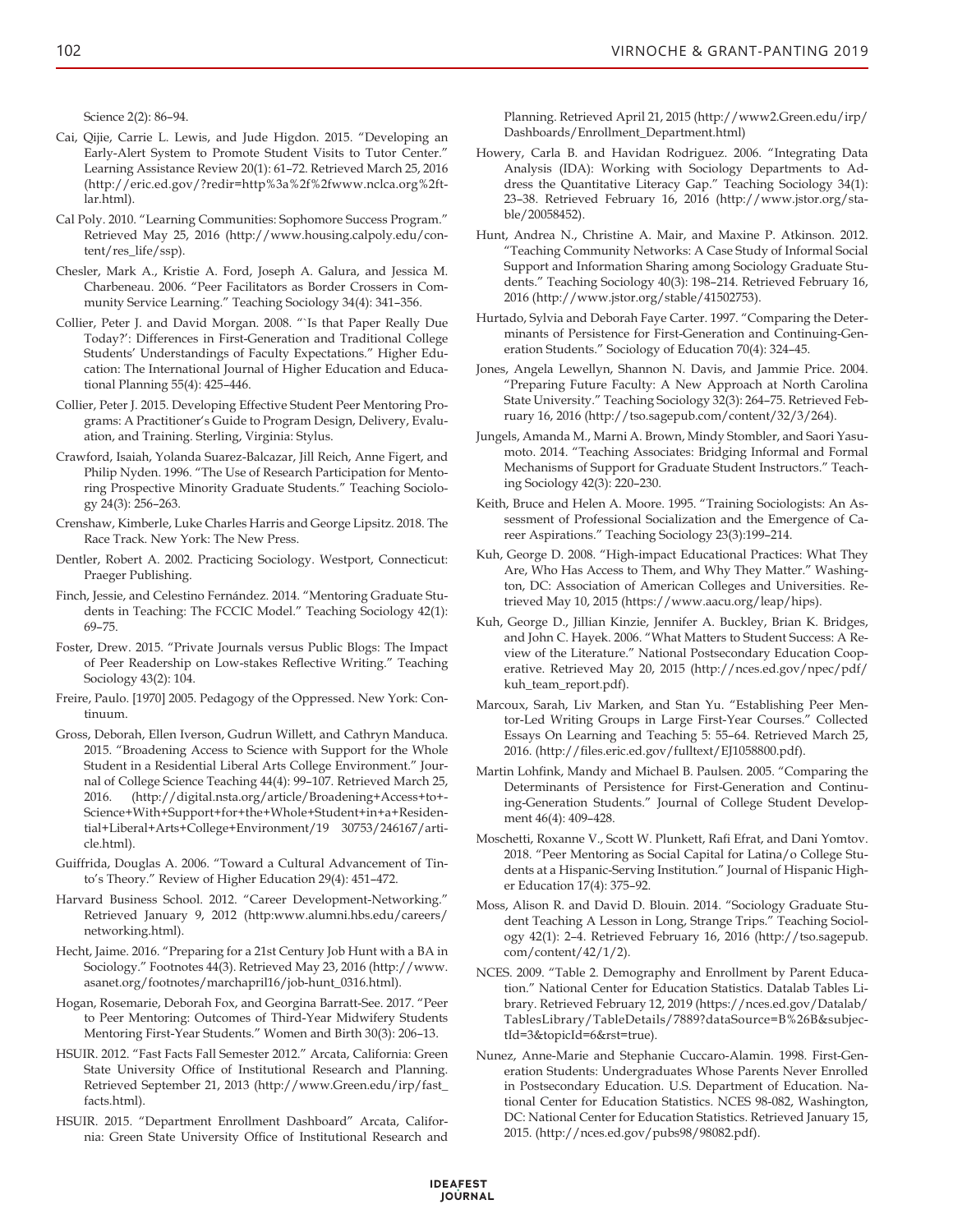Science 2(2): 86–94.

- Cai, Qijie, Carrie L. Lewis, and Jude Higdon. 2015. "Developing an Early-Alert System to Promote Student Visits to Tutor Center." Learning Assistance Review 20(1): 61–72. Retrieved March 25, 2016 (http://eric.ed.gov/?redir=http%3a%2f%2fwww.nclca.org%2ftlar.html).
- Cal Poly. 2010. "Learning Communities: Sophomore Success Program." Retrieved May 25, 2016 (http://www.housing.calpoly.edu/content/res\_life/ssp).
- Chesler, Mark A., Kristie A. Ford, Joseph A. Galura, and Jessica M. Charbeneau. 2006. "Peer Facilitators as Border Crossers in Community Service Learning." Teaching Sociology 34(4): 341–356.
- Collier, Peter J. and David Morgan. 2008. "`Is that Paper Really Due Today?': Differences in First-Generation and Traditional College Students' Understandings of Faculty Expectations." Higher Education: The International Journal of Higher Education and Educational Planning 55(4): 425–446.
- Collier, Peter J. 2015. Developing Effective Student Peer Mentoring Programs: A Practitioner's Guide to Program Design, Delivery, Evaluation, and Training. Sterling, Virginia: Stylus.
- Crawford, Isaiah, Yolanda Suarez-Balcazar, Jill Reich, Anne Figert, and Philip Nyden. 1996. "The Use of Research Participation for Mentoring Prospective Minority Graduate Students." Teaching Sociology 24(3): 256–263.
- Crenshaw, Kimberle, Luke Charles Harris and George Lipsitz. 2018. The Race Track. New York: The New Press.
- Dentler, Robert A. 2002. Practicing Sociology. Westport, Connecticut: Praeger Publishing.
- Finch, Jessie, and Celestino Fernández. 2014. "Mentoring Graduate Students in Teaching: The FCCIC Model." Teaching Sociology 42(1): 69–75.
- Foster, Drew. 2015. "Private Journals versus Public Blogs: The Impact of Peer Readership on Low-stakes Reflective Writing." Teaching Sociology 43(2): 104.
- Freire, Paulo. [1970] 2005. Pedagogy of the Oppressed. New York: Continuum.
- Gross, Deborah, Ellen Iverson, Gudrun Willett, and Cathryn Manduca. 2015. "Broadening Access to Science with Support for the Whole Student in a Residential Liberal Arts College Environment." Journal of College Science Teaching 44(4): 99–107. Retrieved March 25, 2016. (http://digital.nsta.org/article/Broadening+Access+to+- Science+With+Support+for+the+Whole+Student+in+a+Residential+Liberal+Arts+College+Environment/19 30753/246167/article.html).
- Guiffrida, Douglas A. 2006. "Toward a Cultural Advancement of Tinto's Theory." Review of Higher Education 29(4): 451–472.
- Harvard Business School. 2012. "Career Development-Networking." Retrieved January 9, 2012 (http:www.alumni.hbs.edu/careers/ networking.html).
- Hecht, Jaime. 2016. "Preparing for a 21st Century Job Hunt with a BA in Sociology." Footnotes 44(3). Retrieved May 23, 2016 (http://www. asanet.org/footnotes/marchapril16/job-hunt\_0316.html).
- Hogan, Rosemarie, Deborah Fox, and Georgina Barratt-See. 2017. "Peer to Peer Mentoring: Outcomes of Third-Year Midwifery Students Mentoring First-Year Students." Women and Birth 30(3): 206–13.
- HSUIR. 2012. "Fast Facts Fall Semester 2012." Arcata, California: Green State University Office of Institutional Research and Planning. Retrieved September 21, 2013 (http://www.Green.edu/irp/fast\_ facts.html).
- HSUIR. 2015. "Department Enrollment Dashboard" Arcata, California: Green State University Office of Institutional Research and

Planning. Retrieved April 21, 2015 (http://www2.Green.edu/irp/ Dashboards/Enrollment\_Department.html)

- Howery, Carla B. and Havidan Rodriguez. 2006. "Integrating Data Analysis (IDA): Working with Sociology Departments to Address the Quantitative Literacy Gap." Teaching Sociology 34(1): 23–38. Retrieved February 16, 2016 (http://www.jstor.org/stable/20058452).
- Hunt, Andrea N., Christine A. Mair, and Maxine P. Atkinson. 2012. "Teaching Community Networks: A Case Study of Informal Social Support and Information Sharing among Sociology Graduate Students." Teaching Sociology 40(3): 198–214. Retrieved February 16, 2016 (http://www.jstor.org/stable/41502753).
- Hurtado, Sylvia and Deborah Faye Carter. 1997. "Comparing the Determinants of Persistence for First-Generation and Continuing-Generation Students." Sociology of Education 70(4): 324–45.
- Jones, Angela Lewellyn, Shannon N. Davis, and Jammie Price. 2004. "Preparing Future Faculty: A New Approach at North Carolina State University." Teaching Sociology 32(3): 264–75. Retrieved February 16, 2016 (http://tso.sagepub.com/content/32/3/264).
- Jungels, Amanda M., Marni A. Brown, Mindy Stombler, and Saori Yasumoto. 2014. "Teaching Associates: Bridging Informal and Formal Mechanisms of Support for Graduate Student Instructors." Teaching Sociology 42(3): 220–230.
- Keith, Bruce and Helen A. Moore. 1995. "Training Sociologists: An Assessment of Professional Socialization and the Emergence of Career Aspirations." Teaching Sociology 23(3):199–214.
- Kuh, George D. 2008. "High-impact Educational Practices: What They Are, Who Has Access to Them, and Why They Matter." Washington, DC: Association of American Colleges and Universities. Retrieved May 10, 2015 (https://www.aacu.org/leap/hips).
- Kuh, George D., Jillian Kinzie, Jennifer A. Buckley, Brian K. Bridges, and John C. Hayek. 2006. "What Matters to Student Success: A Review of the Literature." National Postsecondary Education Cooperative. Retrieved May 20, 2015 (http://nces.ed.gov/npec/pdf/ kuh\_team\_report.pdf).
- Marcoux, Sarah, Liv Marken, and Stan Yu. "Establishing Peer Mentor-Led Writing Groups in Large First-Year Courses." Collected Essays On Learning and Teaching 5: 55–64. Retrieved March 25, 2016. (http://files.eric.ed.gov/fulltext/EJ1058800.pdf).
- Martin Lohfink, Mandy and Michael B. Paulsen. 2005. "Comparing the Determinants of Persistence for First-Generation and Continuing-Generation Students." Journal of College Student Development 46(4): 409–428.
- Moschetti, Roxanne V., Scott W. Plunkett, Rafi Efrat, and Dani Yomtov. 2018. "Peer Mentoring as Social Capital for Latina/o College Students at a Hispanic-Serving Institution." Journal of Hispanic Higher Education 17(4): 375–92.
- Moss, Alison R. and David D. Blouin. 2014. "Sociology Graduate Student Teaching A Lesson in Long, Strange Trips." Teaching Sociology 42(1): 2–4. Retrieved February 16, 2016 (http://tso.sagepub. com/content/42/1/2).
- NCES. 2009. "Table 2. Demography and Enrollment by Parent Education." National Center for Education Statistics. Datalab Tables Library. Retrieved February 12, 2019 (https://nces.ed.gov/Datalab/ TablesLibrary/TableDetails/7889?dataSource=B%26B&subjectId=3&topicId=6&rst=true).
- Nunez, Anne-Marie and Stephanie Cuccaro-Alamin. 1998. First-Generation Students: Undergraduates Whose Parents Never Enrolled in Postsecondary Education. U.S. Department of Education. National Center for Education Statistics. NCES 98-082, Washington, DC: National Center for Education Statistics. Retrieved January 15, 2015. (http://nces.ed.gov/pubs98/98082.pdf).